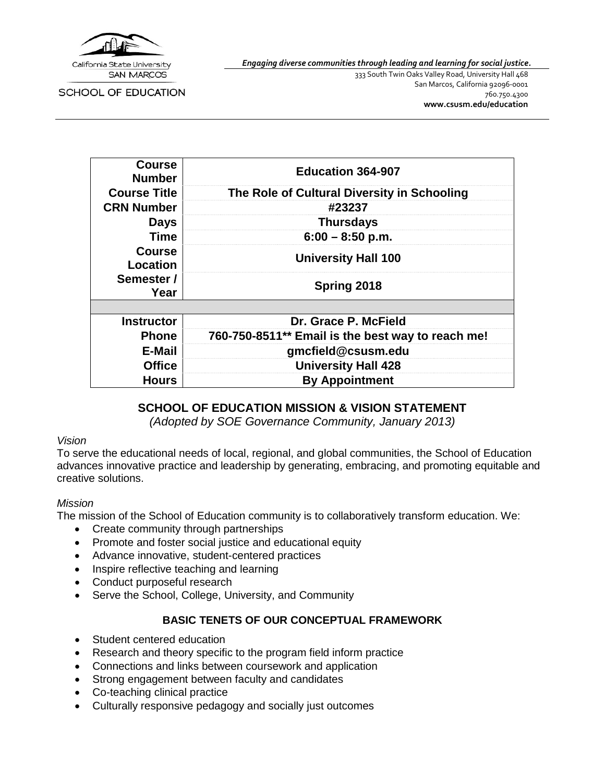

*Engaging diverse communities through leading and learning for social justice.*

SCHOOL OF EDUCATION

333 South Twin Oaks Valley Road, University Hall 468 San Marcos, California 92096-0001 760.750.4300 **[www.csusm.edu/education](http://www.csusm.edu/education)**

| <b>Course</b><br><b>Number</b> | <b>Education 364-907</b>                          |
|--------------------------------|---------------------------------------------------|
| <b>Course Title</b>            | The Role of Cultural Diversity in Schooling       |
| <b>CRN Number</b>              | #23237                                            |
| <b>Days</b>                    | <b>Thursdays</b>                                  |
| Time                           | $6:00 - 8:50$ p.m.                                |
| <b>Course</b><br>Location      | <b>University Hall 100</b>                        |
| Semester /<br>Year             | Spring 2018                                       |
|                                |                                                   |
| <b>Instructor</b>              | Dr. Grace P. McField                              |
| <b>Phone</b>                   | 760-750-8511** Email is the best way to reach me! |
| <b>E-Mail</b>                  | gmcfield@csusm.edu                                |
| <b>Office</b>                  | <b>University Hall 428</b>                        |
| <b>Hours</b>                   | <b>By Appointment</b>                             |

## **SCHOOL OF EDUCATION MISSION & VISION STATEMENT**

*(Adopted by SOE Governance Community, January 2013)*

#### *Vision*

To serve the educational needs of local, regional, and global communities, the School of Education advances innovative practice and leadership by generating, embracing, and promoting equitable and creative solutions.

#### *Mission*

The mission of the School of Education community is to collaboratively transform education. We:

- Create community through partnerships
- Promote and foster social justice and educational equity
- Advance innovative, student-centered practices
- Inspire reflective teaching and learning
- Conduct purposeful research
- Serve the School, College, University, and Community

#### **BASIC TENETS OF OUR CONCEPTUAL FRAMEWORK**

- Student centered education
- Research and theory specific to the program field inform practice
- Connections and links between coursework and application
- Strong engagement between faculty and candidates
- Co-teaching clinical practice
- Culturally responsive pedagogy and socially just outcomes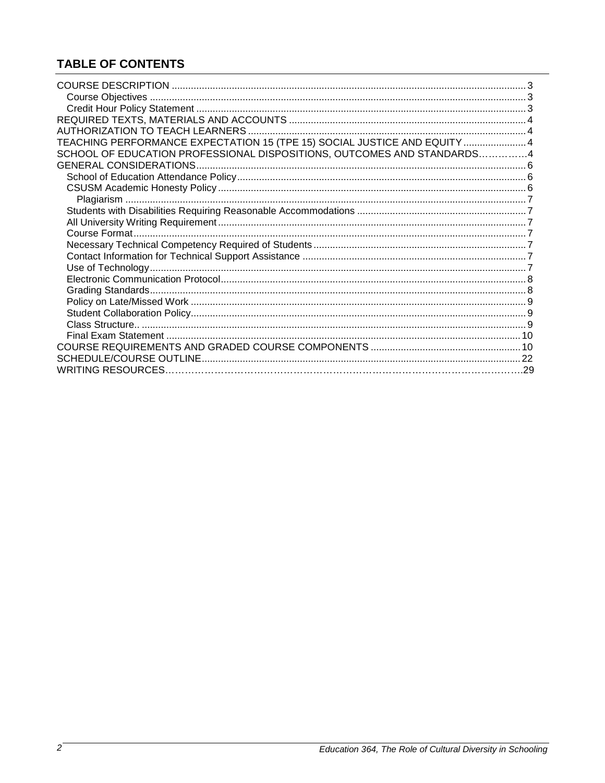## **TABLE OF CONTENTS**

| TEACHING PERFORMANCE EXPECTATION 15 (TPE 15) SOCIAL JUSTICE AND EQUITY  4 |  |
|---------------------------------------------------------------------------|--|
| SCHOOL OF EDUCATION PROFESSIONAL DISPOSITIONS, OUTCOMES AND STANDARDS4    |  |
|                                                                           |  |
|                                                                           |  |
|                                                                           |  |
|                                                                           |  |
|                                                                           |  |
|                                                                           |  |
|                                                                           |  |
|                                                                           |  |
|                                                                           |  |
|                                                                           |  |
|                                                                           |  |
|                                                                           |  |
|                                                                           |  |
|                                                                           |  |
|                                                                           |  |
|                                                                           |  |
|                                                                           |  |
|                                                                           |  |
|                                                                           |  |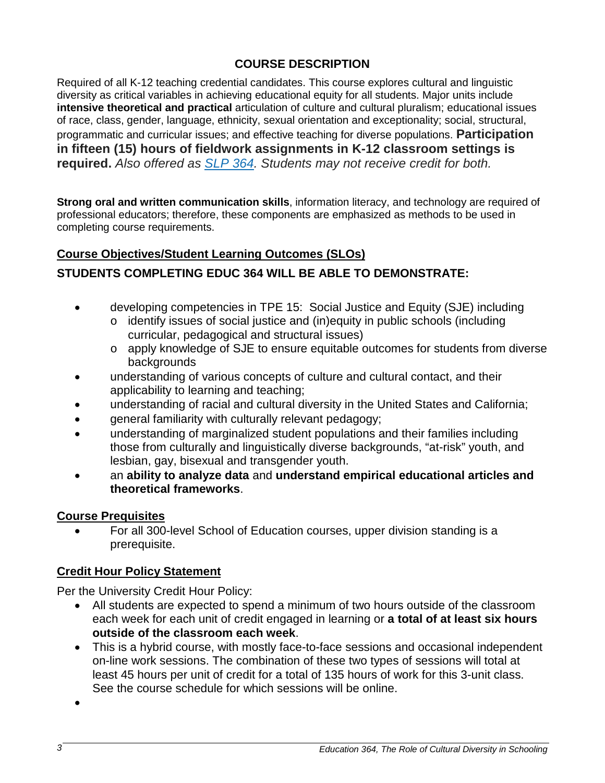## **COURSE DESCRIPTION**

Required of all K-12 teaching credential candidates. This course explores cultural and linguistic diversity as critical variables in achieving educational equity for all students. Major units include **intensive theoretical and practical** articulation of culture and cultural pluralism; educational issues of race, class, gender, language, ethnicity, sexual orientation and exceptionality; social, structural, programmatic and curricular issues; and effective teaching for diverse populations. **Participation in fifteen (15) hours of fieldwork assignments in K-12 classroom settings is required.** *Also offered as [SLP](http://catalog.csusm.edu/search_advanced.php?cur_cat_oid=1&search_database=Search&search_db=Search&cpage=1&ecpage=1&ppage=1&spage=1&tpage=1&location=33&filter%5Bkeyword%5D=Education+364#tt6457) 364. Students may not receive credit for both.*

**Strong oral and written communication skills**, information literacy, and technology are required of professional educators; therefore, these components are emphasized as methods to be used in completing course requirements.

## **Course Objectives/Student Learning Outcomes (SLOs)**

## **STUDENTS COMPLETING EDUC 364 WILL BE ABLE TO DEMONSTRATE:**

- developing competencies in TPE 15: Social Justice and Equity (SJE) including o identify issues of social justice and (in)equity in public schools (including
	- curricular, pedagogical and structural issues)
	- o apply knowledge of SJE to ensure equitable outcomes for students from diverse backgrounds
- understanding of various concepts of culture and cultural contact, and their applicability to learning and teaching;
- understanding of racial and cultural diversity in the United States and California;
- general familiarity with culturally relevant pedagogy;
- understanding of marginalized student populations and their families including those from culturally and linguistically diverse backgrounds, "at-risk" youth, and lesbian, gay, bisexual and transgender youth.
- an **ability to analyze data** and **understand empirical educational articles and theoretical frameworks**.

## **Course Prequisites**

• For all 300-level School of Education courses, upper division standing is a prerequisite.

## **Credit Hour Policy Statement**

Per the University Credit Hour Policy:

- All students are expected to spend a minimum of two hours outside of the classroom each week for each unit of credit engaged in learning or **a total of at least six hours outside of the classroom each week**.
- This is a hybrid course, with mostly face-to-face sessions and occasional independent on-line work sessions. The combination of these two types of sessions will total at least 45 hours per unit of credit for a total of 135 hours of work for this 3-unit class. See the course schedule for which sessions will be online.

•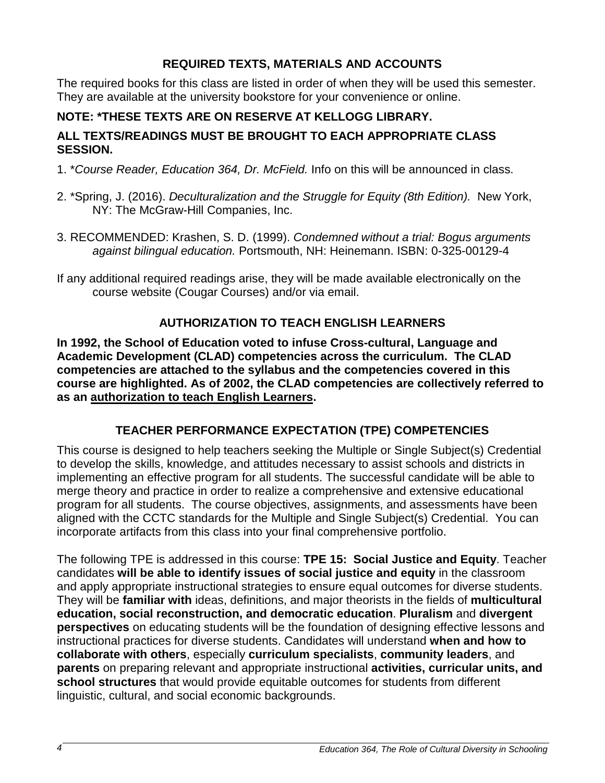## **REQUIRED TEXTS, MATERIALS AND ACCOUNTS**

The required books for this class are listed in order of when they will be used this semester. They are available at the university bookstore for your convenience or online.

## **NOTE: \*THESE TEXTS ARE ON RESERVE AT KELLOGG LIBRARY.**

## **ALL TEXTS/READINGS MUST BE BROUGHT TO EACH APPROPRIATE CLASS SESSION.**

- 1. \**Course Reader, Education 364, Dr. McField.* Info on this will be announced in class.
- 2. \*Spring, J. (2016). *Deculturalization and the Struggle for Equity (8th Edition).* New York, NY: The McGraw-Hill Companies, Inc.
- 3. RECOMMENDED: Krashen, S. D. (1999). *Condemned without a trial: Bogus arguments against bilingual education.* Portsmouth, NH: Heinemann. ISBN: 0-325-00129-4
- If any additional required readings arise, they will be made available electronically on the course website (Cougar Courses) and/or via email.

## **AUTHORIZATION TO TEACH ENGLISH LEARNERS**

**In 1992, the School of Education voted to infuse Cross-cultural, Language and Academic Development (CLAD) competencies across the curriculum. The CLAD competencies are attached to the syllabus and the competencies covered in this course are highlighted. As of 2002, the CLAD competencies are collectively referred to as an authorization to teach English Learners.**

## **TEACHER PERFORMANCE EXPECTATION (TPE) COMPETENCIES**

This course is designed to help teachers seeking the Multiple or Single Subject(s) Credential to develop the skills, knowledge, and attitudes necessary to assist schools and districts in implementing an effective program for all students. The successful candidate will be able to merge theory and practice in order to realize a comprehensive and extensive educational program for all students. The course objectives, assignments, and assessments have been aligned with the CCTC standards for the Multiple and Single Subject(s) Credential. You can incorporate artifacts from this class into your final comprehensive portfolio.

The following TPE is addressed in this course: **TPE 15: Social Justice and Equity**. Teacher candidates **will be able to identify issues of social justice and equity** in the classroom and apply appropriate instructional strategies to ensure equal outcomes for diverse students. They will be **familiar with** ideas, definitions, and major theorists in the fields of **multicultural education, social reconstruction, and democratic education**. **Pluralism** and **divergent perspectives** on educating students will be the foundation of designing effective lessons and instructional practices for diverse students. Candidates will understand **when and how to collaborate with others**, especially **curriculum specialists**, **community leaders**, and **parents** on preparing relevant and appropriate instructional **activities, curricular units, and school structures** that would provide equitable outcomes for students from different linguistic, cultural, and social economic backgrounds.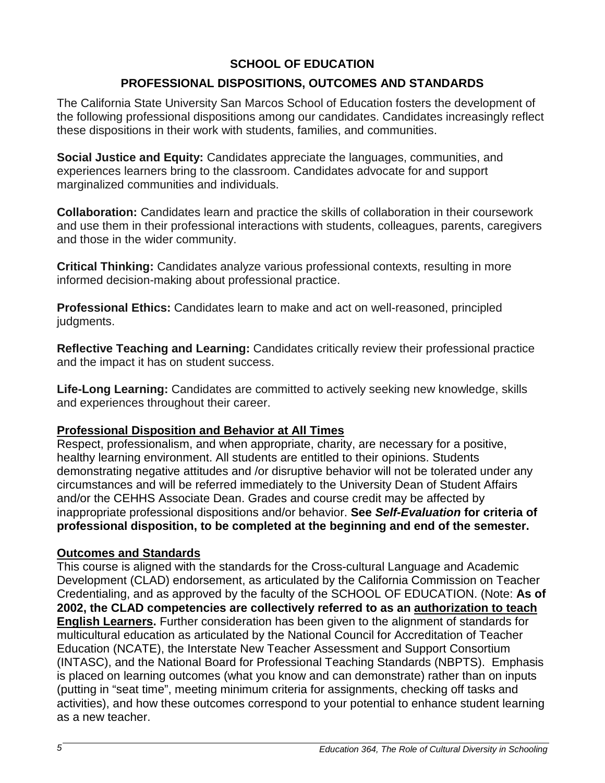## **SCHOOL OF EDUCATION**

## **PROFESSIONAL DISPOSITIONS, OUTCOMES AND STANDARDS**

The California State University San Marcos School of Education fosters the development of the following professional dispositions among our candidates. Candidates increasingly reflect these dispositions in their work with students, families, and communities.

**Social Justice and Equity:** Candidates appreciate the languages, communities, and experiences learners bring to the classroom. Candidates advocate for and support marginalized communities and individuals.

**Collaboration:** Candidates learn and practice the skills of collaboration in their coursework and use them in their professional interactions with students, colleagues, parents, caregivers and those in the wider community.

**Critical Thinking:** Candidates analyze various professional contexts, resulting in more informed decision-making about professional practice.

**Professional Ethics:** Candidates learn to make and act on well-reasoned, principled judgments.

**Reflective Teaching and Learning:** Candidates critically review their professional practice and the impact it has on student success.

**Life-Long Learning:** Candidates are committed to actively seeking new knowledge, skills and experiences throughout their career.

## **Professional Disposition and Behavior at All Times**

Respect, professionalism, and when appropriate, charity, are necessary for a positive, healthy learning environment. All students are entitled to their opinions. Students demonstrating negative attitudes and /or disruptive behavior will not be tolerated under any circumstances and will be referred immediately to the University Dean of Student Affairs and/or the CEHHS Associate Dean. Grades and course credit may be affected by inappropriate professional dispositions and/or behavior. **See** *Self-Evaluation* **for criteria of professional disposition, to be completed at the beginning and end of the semester.**

## **Outcomes and Standards**

This course is aligned with the standards for the Cross-cultural Language and Academic Development (CLAD) endorsement, as articulated by the California Commission on Teacher Credentialing, and as approved by the faculty of the SCHOOL OF EDUCATION. (Note: **As of 2002, the CLAD competencies are collectively referred to as an authorization to teach English Learners.** Further consideration has been given to the alignment of standards for multicultural education as articulated by the National Council for Accreditation of Teacher Education (NCATE), the Interstate New Teacher Assessment and Support Consortium (INTASC), and the National Board for Professional Teaching Standards (NBPTS). Emphasis is placed on learning outcomes (what you know and can demonstrate) rather than on inputs (putting in "seat time", meeting minimum criteria for assignments, checking off tasks and activities), and how these outcomes correspond to your potential to enhance student learning as a new teacher.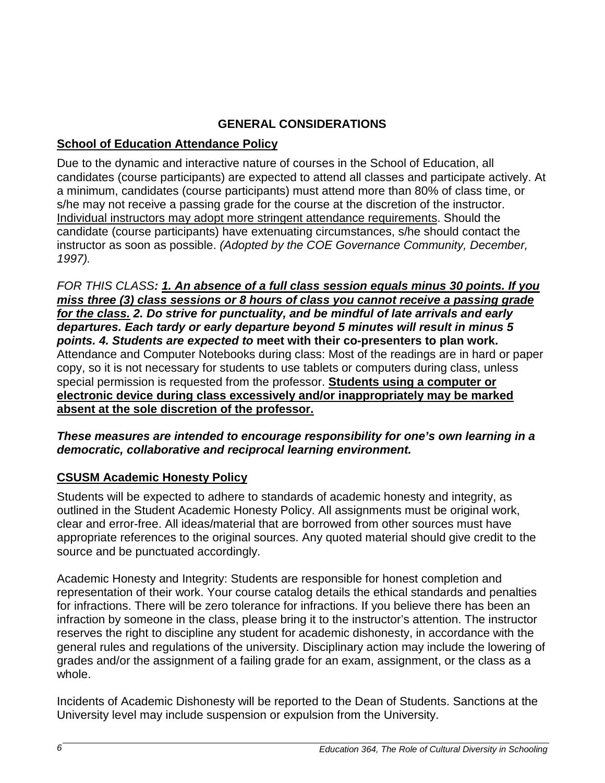## **GENERAL CONSIDERATIONS**

## **School of Education Attendance Policy**

Due to the dynamic and interactive nature of courses in the School of Education, all candidates (course participants) are expected to attend all classes and participate actively. At a minimum, candidates (course participants) must attend more than 80% of class time, or s/he may not receive a passing grade for the course at the discretion of the instructor. Individual instructors may adopt more stringent attendance requirements. Should the candidate (course participants) have extenuating circumstances, s/he should contact the instructor as soon as possible. *(Adopted by the COE Governance Community, December, 1997).* 

*FOR THIS CLASS: 1. An absence of a full class session equals minus 30 points. If you miss three (3) class sessions or 8 hours of class you cannot receive a passing grade for the class. 2. Do strive for punctuality, and be mindful of late arrivals and early departures. Each tardy or early departure beyond 5 minutes will result in minus 5 points. 4. Students are expected to* **meet with their co-presenters to plan work.** Attendance and Computer Notebooks during class: Most of the readings are in hard or paper copy, so it is not necessary for students to use tablets or computers during class, unless special permission is requested from the professor. **Students using a computer or electronic device during class excessively and/or inappropriately may be marked absent at the sole discretion of the professor.**

### *These measures are intended to encourage responsibility for one's own learning in a democratic, collaborative and reciprocal learning environment.*

## **CSUSM Academic Honesty Policy**

Students will be expected to adhere to standards of academic honesty and integrity, as outlined in the Student Academic Honesty Policy. All assignments must be original work, clear and error-free. All ideas/material that are borrowed from other sources must have appropriate references to the original sources. Any quoted material should give credit to the source and be punctuated accordingly.

Academic Honesty and Integrity: Students are responsible for honest completion and representation of their work. Your course catalog details the ethical standards and penalties for infractions. There will be zero tolerance for infractions. If you believe there has been an infraction by someone in the class, please bring it to the instructor's attention. The instructor reserves the right to discipline any student for academic dishonesty, in accordance with the general rules and regulations of the university. Disciplinary action may include the lowering of grades and/or the assignment of a failing grade for an exam, assignment, or the class as a whole.

Incidents of Academic Dishonesty will be reported to the Dean of Students. Sanctions at the University level may include suspension or expulsion from the University.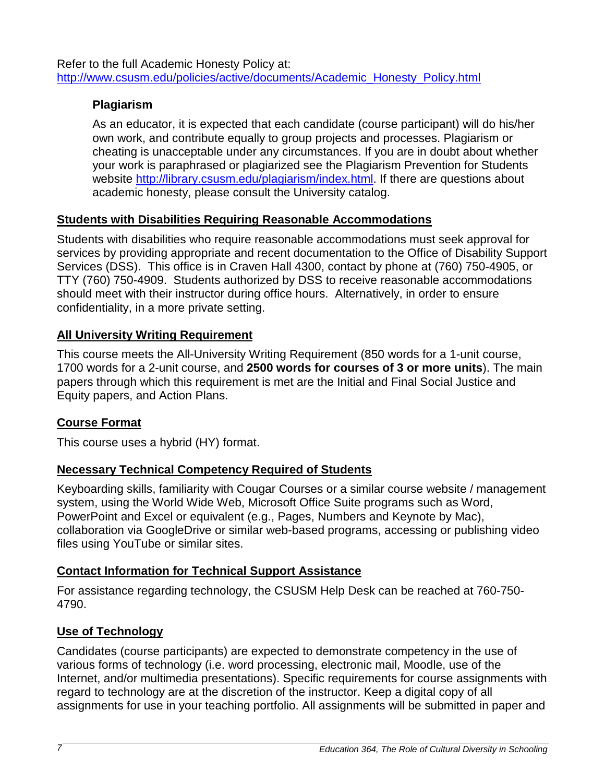Refer to the full Academic Honesty Policy at: [http://www.csusm.edu/policies/active/documents/Academic\\_Honesty\\_Policy.html](http://www.csusm.edu/policies/active/documents/Academic_Honesty_Policy.html)

## **Plagiarism**

As an educator, it is expected that each candidate (course participant) will do his/her own work, and contribute equally to group projects and processes. Plagiarism or cheating is unacceptable under any circumstances. If you are in doubt about whether your work is paraphrased or plagiarized see the Plagiarism Prevention for Students website [http://library.csusm.edu/plagiarism/index.html.](http://library.csusm.edu/plagiarism/index.html) If there are questions about academic honesty, please consult the University catalog.

## **Students with Disabilities Requiring Reasonable Accommodations**

Students with disabilities who require reasonable accommodations must seek approval for services by providing appropriate and recent documentation to the Office of Disability Support Services (DSS). This office is in Craven Hall 4300, contact by phone at (760) 750-4905, or TTY (760) 750-4909. Students authorized by DSS to receive reasonable accommodations should meet with their instructor during office hours. Alternatively, in order to ensure confidentiality, in a more private setting.

## **All University Writing Requirement**

This course meets the All-University Writing Requirement (850 words for a 1-unit course, 1700 words for a 2-unit course, and **2500 words for courses of 3 or more units**). The main papers through which this requirement is met are the Initial and Final Social Justice and Equity papers, and Action Plans.

## **Course Format**

This course uses a hybrid (HY) format.

## **Necessary Technical Competency Required of Students**

Keyboarding skills, familiarity with Cougar Courses or a similar course website / management system, using the World Wide Web, Microsoft Office Suite programs such as Word, PowerPoint and Excel or equivalent (e.g., Pages, Numbers and Keynote by Mac), collaboration via GoogleDrive or similar web-based programs, accessing or publishing video files using YouTube or similar sites.

## **Contact Information for Technical Support Assistance**

For assistance regarding technology, the CSUSM Help Desk can be reached at 760-750- 4790.

## **Use of Technology**

Candidates (course participants) are expected to demonstrate competency in the use of various forms of technology (i.e. word processing, electronic mail, Moodle, use of the Internet, and/or multimedia presentations). Specific requirements for course assignments with regard to technology are at the discretion of the instructor. Keep a digital copy of all assignments for use in your teaching portfolio. All assignments will be submitted in paper and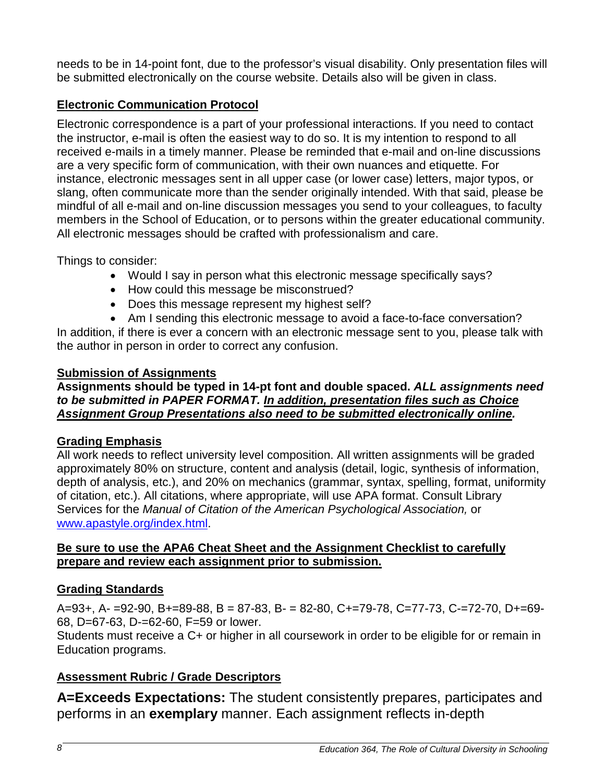needs to be in 14-point font, due to the professor's visual disability. Only presentation files will be submitted electronically on the course website. Details also will be given in class.

## **Electronic Communication Protocol**

Electronic correspondence is a part of your professional interactions. If you need to contact the instructor, e-mail is often the easiest way to do so. It is my intention to respond to all received e-mails in a timely manner. Please be reminded that e-mail and on-line discussions are a very specific form of communication, with their own nuances and etiquette. For instance, electronic messages sent in all upper case (or lower case) letters, major typos, or slang, often communicate more than the sender originally intended. With that said, please be mindful of all e-mail and on-line discussion messages you send to your colleagues, to faculty members in the School of Education, or to persons within the greater educational community. All electronic messages should be crafted with professionalism and care.

Things to consider:

- Would I say in person what this electronic message specifically says?
- How could this message be misconstrued?
- Does this message represent my highest self?
- Am I sending this electronic message to avoid a face-to-face conversation?

In addition, if there is ever a concern with an electronic message sent to you, please talk with the author in person in order to correct any confusion.

## **Submission of Assignments**

**Assignments should be typed in 14-pt font and double spaced.** *ALL assignments need to be submitted in PAPER FORMAT. In addition, presentation files such as Choice Assignment Group Presentations also need to be submitted electronically online.*

## **Grading Emphasis**

All work needs to reflect university level composition. All written assignments will be graded approximately 80% on structure, content and analysis (detail, logic, synthesis of information, depth of analysis, etc.), and 20% on mechanics (grammar, syntax, spelling, format, uniformity of citation, etc.). All citations, where appropriate, will use APA format. Consult Library Services for the *Manual of Citation of the American Psychological Association,* or [www.apastyle.org/index.html.](http://www.apastyle.org/index.html)

## **Be sure to use the APA6 Cheat Sheet and the Assignment Checklist to carefully prepare and review each assignment prior to submission.**

## **Grading Standards**

A=93+, A- =92-90, B+=89-88, B = 87-83, B- = 82-80, C+=79-78, C=77-73, C-=72-70, D+=69- 68, D=67-63, D-=62-60, F=59 or lower.

Students must receive a C+ or higher in all coursework in order to be eligible for or remain in Education programs.

## **Assessment Rubric / Grade Descriptors**

**A=Exceeds Expectations:** The student consistently prepares, participates and performs in an **exemplary** manner. Each assignment reflects in-depth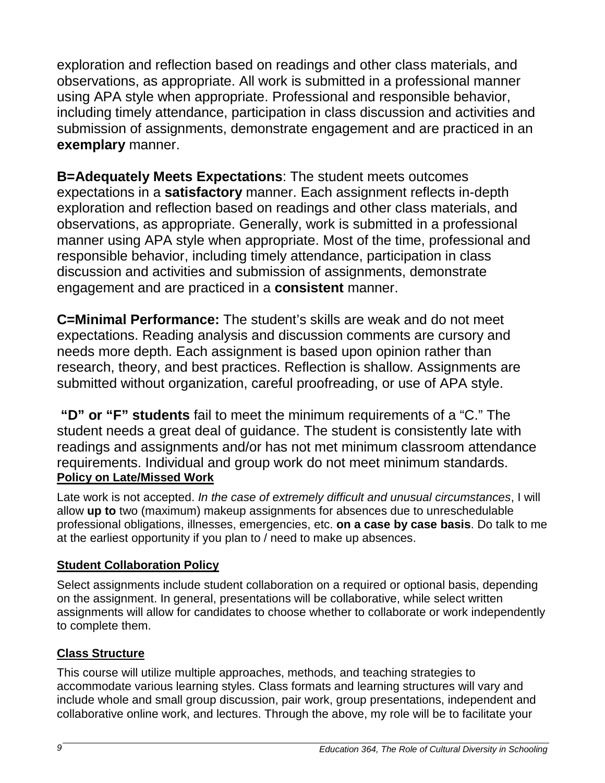exploration and reflection based on readings and other class materials, and observations, as appropriate. All work is submitted in a professional manner using APA style when appropriate. Professional and responsible behavior, including timely attendance, participation in class discussion and activities and submission of assignments, demonstrate engagement and are practiced in an **exemplary** manner.

**B=Adequately Meets Expectations**: The student meets outcomes expectations in a **satisfactory** manner. Each assignment reflects in-depth exploration and reflection based on readings and other class materials, and observations, as appropriate. Generally, work is submitted in a professional manner using APA style when appropriate. Most of the time, professional and responsible behavior, including timely attendance, participation in class discussion and activities and submission of assignments, demonstrate engagement and are practiced in a **consistent** manner.

**C=Minimal Performance:** The student's skills are weak and do not meet expectations. Reading analysis and discussion comments are cursory and needs more depth. Each assignment is based upon opinion rather than research, theory, and best practices. Reflection is shallow. Assignments are submitted without organization, careful proofreading, or use of APA style.

**"D" or "F" students** fail to meet the minimum requirements of a "C." The student needs a great deal of guidance. The student is consistently late with readings and assignments and/or has not met minimum classroom attendance requirements. Individual and group work do not meet minimum standards. **Policy on Late/Missed Work**

Late work is not accepted. *In the case of extremely difficult and unusual circumstances*, I will allow **up to** two (maximum) makeup assignments for absences due to unreschedulable professional obligations, illnesses, emergencies, etc. **on a case by case basis**. Do talk to me at the earliest opportunity if you plan to / need to make up absences.

## **Student Collaboration Policy**

Select assignments include student collaboration on a required or optional basis, depending on the assignment. In general, presentations will be collaborative, while select written assignments will allow for candidates to choose whether to collaborate or work independently to complete them.

## **Class Structure**

This course will utilize multiple approaches, methods, and teaching strategies to accommodate various learning styles. Class formats and learning structures will vary and include whole and small group discussion, pair work, group presentations, independent and collaborative online work, and lectures. Through the above, my role will be to facilitate your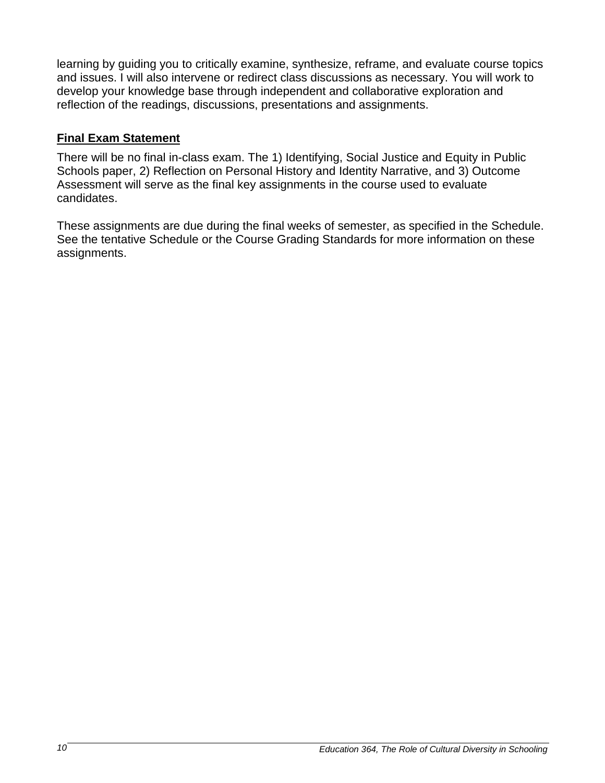learning by guiding you to critically examine, synthesize, reframe, and evaluate course topics and issues. I will also intervene or redirect class discussions as necessary. You will work to develop your knowledge base through independent and collaborative exploration and reflection of the readings, discussions, presentations and assignments.

## **Final Exam Statement**

There will be no final in-class exam. The 1) Identifying, Social Justice and Equity in Public Schools paper, 2) Reflection on Personal History and Identity Narrative, and 3) Outcome Assessment will serve as the final key assignments in the course used to evaluate candidates.

These assignments are due during the final weeks of semester, as specified in the Schedule. See the tentative Schedule or the Course Grading Standards for more information on these assignments.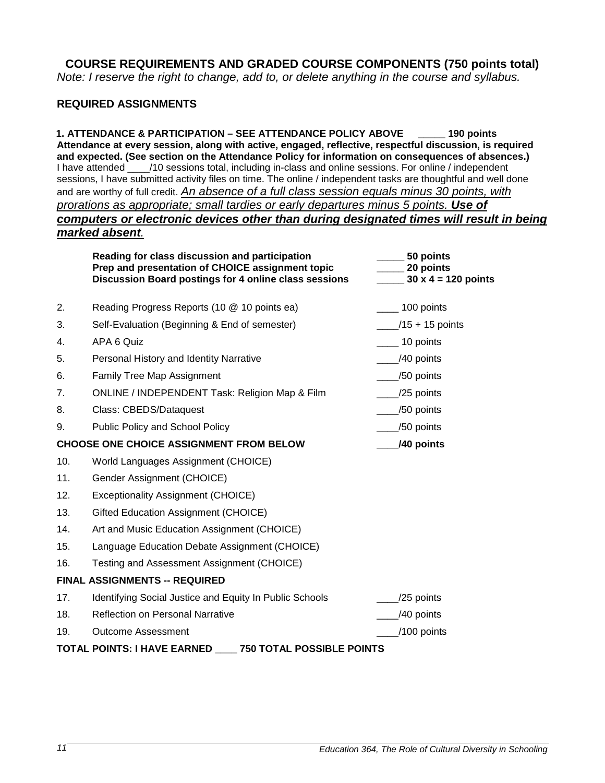**COURSE REQUIREMENTS AND GRADED COURSE COMPONENTS (750 points total)** *Note: I reserve the right to change, add to, or delete anything in the course and syllabus.*

#### **REQUIRED ASSIGNMENTS**

 **1. ATTENDANCE & PARTICIPATION – SEE ATTENDANCE POLICY ABOVE \_\_\_\_\_ 190 points Attendance at every session, along with active, engaged, reflective, respectful discussion, is required and expected. (See section on the Attendance Policy for information on consequences of absences.)**  I have attended \_\_\_\_/10 sessions total, including in-class and online sessions. For online / independent sessions, I have submitted activity files on time. The online / independent tasks are thoughtful and well done and are worthy of full credit. *An absence of a full class session equals minus 30 points, with prorations as appropriate; small tardies or early departures minus 5 points. Use of computers or electronic devices other than during designated times will result in being marked absent.*

|                | Reading for class discussion and participation<br>Prep and presentation of CHOICE assignment topic<br>Discussion Board postings for 4 online class sessions | 50 points<br>20 points<br>$30 \times 4 = 120$ points |
|----------------|-------------------------------------------------------------------------------------------------------------------------------------------------------------|------------------------------------------------------|
| 2.             | Reading Progress Reports (10 @ 10 points ea)                                                                                                                | $\frac{100}{2}$ 100 points                           |
| 3.             | Self-Evaluation (Beginning & End of semester)                                                                                                               | $\frac{1}{2}$ /15 + 15 points                        |
| 4.             | APA 6 Quiz                                                                                                                                                  | $\frac{1}{2}$ 10 points                              |
| 5.             | Personal History and Identity Narrative                                                                                                                     | $\frac{1}{2}$ /40 points                             |
| 6.             | <b>Family Tree Map Assignment</b>                                                                                                                           | $\frac{1}{2}$ /50 points                             |
| 7 <sub>1</sub> | ONLINE / INDEPENDENT Task: Religion Map & Film                                                                                                              | $\frac{1}{25}$ points                                |
| 8.             | Class: CBEDS/Dataquest                                                                                                                                      | $\frac{1}{50}$ points                                |
| 9.             | Public Policy and School Policy                                                                                                                             | $\frac{-}{50}$ points                                |
|                | <b>CHOOSE ONE CHOICE ASSIGNMENT FROM BELOW</b>                                                                                                              | /40 points                                           |
| 10.            | World Languages Assignment (CHOICE)                                                                                                                         |                                                      |
| 11.            | Gender Assignment (CHOICE)                                                                                                                                  |                                                      |
| 12.            | Exceptionality Assignment (CHOICE)                                                                                                                          |                                                      |
| 13.            | Gifted Education Assignment (CHOICE)                                                                                                                        |                                                      |
| 14.            | Art and Music Education Assignment (CHOICE)                                                                                                                 |                                                      |
| 15.            | Language Education Debate Assignment (CHOICE)                                                                                                               |                                                      |
| 16.            | Testing and Assessment Assignment (CHOICE)                                                                                                                  |                                                      |
|                | <b>FINAL ASSIGNMENTS -- REQUIRED</b>                                                                                                                        |                                                      |
| 17.            | Identifying Social Justice and Equity In Public Schools                                                                                                     | /25 points                                           |
| 18.            | <b>Reflection on Personal Narrative</b>                                                                                                                     | /40 points                                           |
| 19.            | <b>Outcome Assessment</b>                                                                                                                                   | /100 points                                          |
|                | <b>750 TOTAL POSSIBLE POINTS</b><br><b>TOTAL POINTS: I HAVE EARNED</b>                                                                                      |                                                      |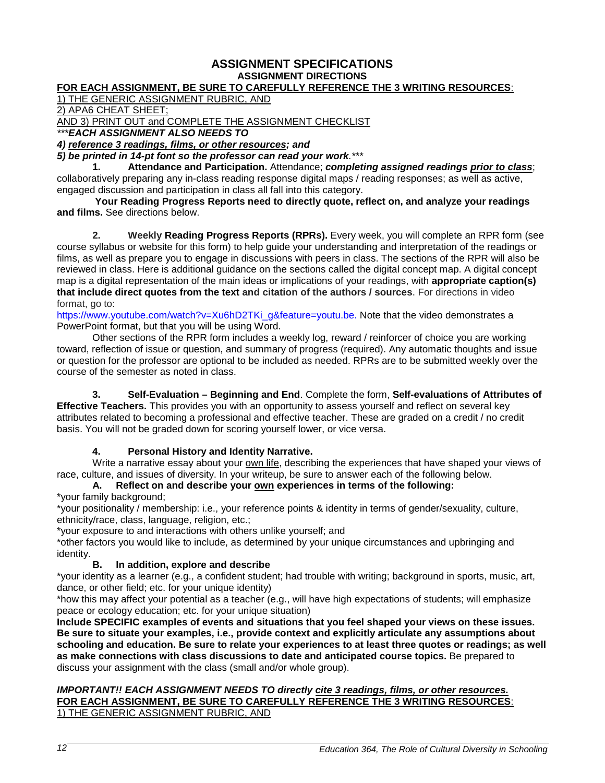#### **ASSIGNMENT SPECIFICATIONS ASSIGNMENT DIRECTIONS**

#### **FOR EACH ASSIGNMENT, BE SURE TO CAREFULLY REFERENCE THE 3 WRITING RESOURCES**:

1) THE GENERIC ASSIGNMENT RUBRIC, AND

2) APA6 CHEAT SHEET;

AND 3) PRINT OUT and COMPLETE THE ASSIGNMENT CHECKLIST

*\*\*\*EACH ASSIGNMENT ALSO NEEDS TO* 

*4) reference 3 readings, films, or other resources; and* 

*5) be printed in 14-pt font so the professor can read your work.\*\*\**

**1. Attendance and Participation.** Attendance; *completing assigned readings prior to class*; collaboratively preparing any in-class reading response digital maps / reading responses; as well as active, engaged discussion and participation in class all fall into this category.

**Your Reading Progress Reports need to directly quote, reflect on, and analyze your readings and films.** See directions below.

**2. Weekly Reading Progress Reports (RPRs).** Every week, you will complete an RPR form (see course syllabus or website for this form) to help guide your understanding and interpretation of the readings or films, as well as prepare you to engage in discussions with peers in class. The sections of the RPR will also be reviewed in class. Here is additional guidance on the sections called the digital concept map. A digital concept map is a digital representation of the main ideas or implications of your readings, with **appropriate caption(s) that include direct quotes from the text and citation of the authors / sources**. For directions in video format, go to:

[https://www.youtube.com/watch?v=Xu6hD2TKi\\_g&feature=youtu.be.](https://www.youtube.com/watch?v=Xu6hD2TKi_g&feature=youtu.be) Note that the video demonstrates a PowerPoint format, but that you will be using Word.

Other sections of the RPR form includes a weekly log, reward / reinforcer of choice you are working toward, reflection of issue or question, and summary of progress (required). Any automatic thoughts and issue or question for the professor are optional to be included as needed. RPRs are to be submitted weekly over the course of the semester as noted in class.

**3. Self-Evaluation – Beginning and End**. Complete the form, **Self-evaluations of Attributes of Effective Teachers.** This provides you with an opportunity to assess yourself and reflect on several key attributes related to becoming a professional and effective teacher. These are graded on a credit / no credit basis. You will not be graded down for scoring yourself lower, or vice versa.

#### **4. Personal History and Identity Narrative.**

Write a narrative essay about your own life, describing the experiences that have shaped your views of race, culture, and issues of diversity. In your writeup, be sure to answer each of the following below.

#### **A. Reflect on and describe your own experiences in terms of the following:**

\*your family background;

\*your positionality / membership: i.e., your reference points & identity in terms of gender/sexuality, culture, ethnicity/race, class, language, religion, etc.;

\*your exposure to and interactions with others unlike yourself; and

\*other factors you would like to include, as determined by your unique circumstances and upbringing and identity.

#### **B. In addition, explore and describe**

\*your identity as a learner (e.g., a confident student; had trouble with writing; background in sports, music, art, dance, or other field; etc. for your unique identity)

\*how this may affect your potential as a teacher (e.g., will have high expectations of students; will emphasize peace or ecology education; etc. for your unique situation)

**Include SPECIFIC examples of events and situations that you feel shaped your views on these issues. Be sure to situate your examples, i.e., provide context and explicitly articulate any assumptions about schooling and education. Be sure to relate your experiences to at least three quotes or readings; as well as make connections with class discussions to date and anticipated course topics.** Be prepared to discuss your assignment with the class (small and/or whole group).

#### *IMPORTANT!! EACH ASSIGNMENT NEEDS TO directly cite 3 readings, films, or other resources.*  **FOR EACH ASSIGNMENT, BE SURE TO CAREFULLY REFERENCE THE 3 WRITING RESOURCES**: 1) THE GENERIC ASSIGNMENT RUBRIC, AND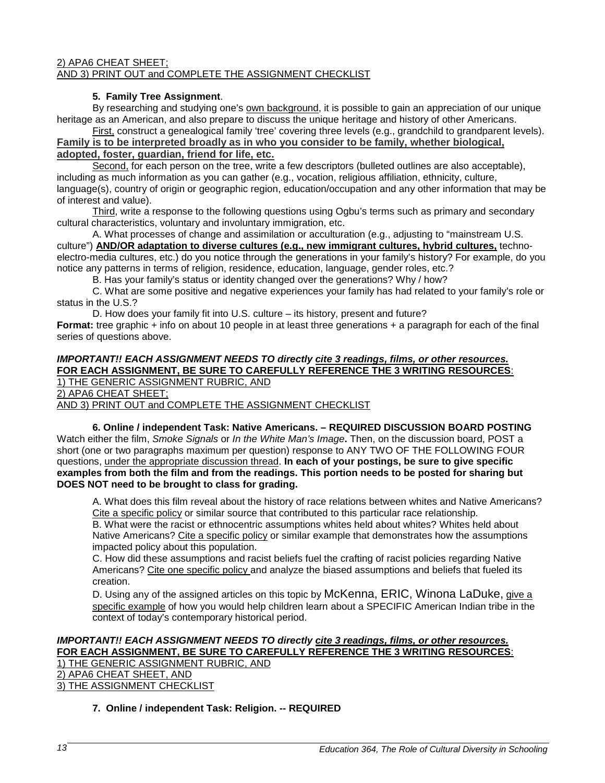#### 2) APA6 CHEAT SHEET; AND 3) PRINT OUT and COMPLETE THE ASSIGNMENT CHECKLIST

#### **5. Family Tree Assignment**.

By researching and studying one's own background, it is possible to gain an appreciation of our unique heritage as an American, and also prepare to discuss the unique heritage and history of other Americans.

First, construct a genealogical family 'tree' covering three levels (e.g., grandchild to grandparent levels). **Family is to be interpreted broadly as in who you consider to be family, whether biological, adopted, foster, guardian, friend for life, etc.**

Second, for each person on the tree, write a few descriptors (bulleted outlines are also acceptable), including as much information as you can gather (e.g., vocation, religious affiliation, ethnicity, culture, language(s), country of origin or geographic region, education/occupation and any other information that may be of interest and value).

Third, write a response to the following questions using Ogbu's terms such as primary and secondary cultural characteristics, voluntary and involuntary immigration, etc.

A. What processes of change and assimilation or acculturation (e.g., adjusting to "mainstream U.S. culture") **AND/OR adaptation to diverse cultures (e.g., new immigrant cultures, hybrid cultures,** technoelectro-media cultures, etc.) do you notice through the generations in your family's history? For example, do you notice any patterns in terms of religion, residence, education, language, gender roles, etc.?

B. Has your family's status or identity changed over the generations? Why / how?

C. What are some positive and negative experiences your family has had related to your family's role or status in the U.S.?

D. How does your family fit into U.S. culture – its history, present and future?

**Format:** tree graphic + info on about 10 people in at least three generations + a paragraph for each of the final series of questions above.

### *IMPORTANT!! EACH ASSIGNMENT NEEDS TO directly cite 3 readings, films, or other resources.*  **FOR EACH ASSIGNMENT, BE SURE TO CAREFULLY REFERENCE THE 3 WRITING RESOURCES**: 1) THE GENERIC ASSIGNMENT RUBRIC, AND

2) APA6 CHEAT SHEET;

AND 3) PRINT OUT and COMPLETE THE ASSIGNMENT CHECKLIST

**6. Online / independent Task: Native Americans. – REQUIRED DISCUSSION BOARD POSTING** Watch either the film, *Smoke Signals* or *In the White Man's Image***.** Then, on the discussion board, POST a short (one or two paragraphs maximum per question) response to ANY TWO OF THE FOLLOWING FOUR questions, under the appropriate discussion thread. **In each of your postings, be sure to give specific examples from both the film and from the readings. This portion needs to be posted for sharing but DOES NOT need to be brought to class for grading.** 

A. What does this film reveal about the history of race relations between whites and Native Americans? Cite a specific policy or similar source that contributed to this particular race relationship.

B. What were the racist or ethnocentric assumptions whites held about whites? Whites held about Native Americans? Cite a specific policy or similar example that demonstrates how the assumptions impacted policy about this population.

C. How did these assumptions and racist beliefs fuel the crafting of racist policies regarding Native Americans? Cite one specific policy and analyze the biased assumptions and beliefs that fueled its creation.

D. Using any of the assigned articles on this topic by McKenna, ERIC, Winona LaDuke, give a specific example of how you would help children learn about a SPECIFIC American Indian tribe in the context of today's contemporary historical period.

#### *IMPORTANT!! EACH ASSIGNMENT NEEDS TO directly cite 3 readings, films, or other resources.*  **FOR EACH ASSIGNMENT, BE SURE TO CAREFULLY REFERENCE THE 3 WRITING RESOURCES**: 1) THE GENERIC ASSIGNMENT RUBRIC, AND 2) APA6 CHEAT SHEET, AND

3) THE ASSIGNMENT CHECKLIST

#### **7. Online / independent Task: Religion. -- REQUIRED**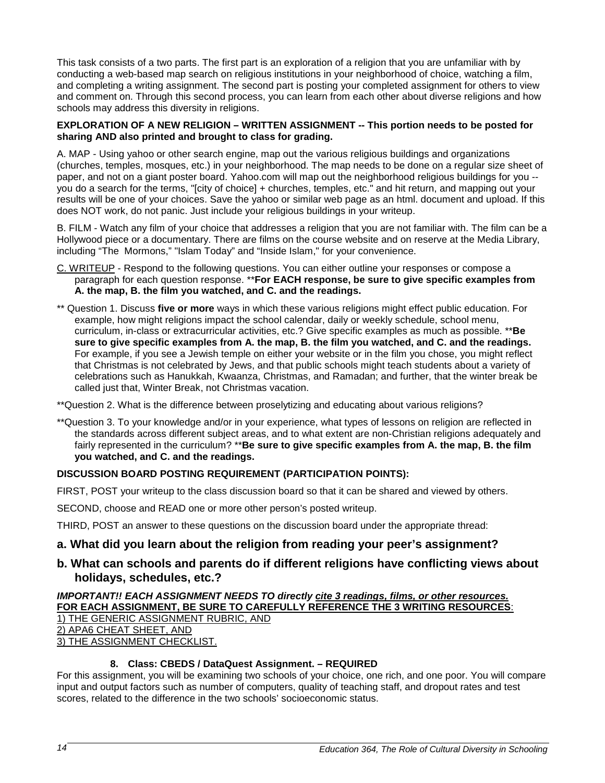This task consists of a two parts. The first part is an exploration of a religion that you are unfamiliar with by conducting a web-based map search on religious institutions in your neighborhood of choice, watching a film, and completing a writing assignment. The second part is posting your completed assignment for others to view and comment on. Through this second process, you can learn from each other about diverse religions and how schools may address this diversity in religions.

#### **EXPLORATION OF A NEW RELIGION – WRITTEN ASSIGNMENT -- This portion needs to be posted for sharing AND also printed and brought to class for grading.**

A. MAP - Using yahoo or other search engine, map out the various religious buildings and organizations (churches, temples, mosques, etc.) in your neighborhood. The map needs to be done on a regular size sheet of paper, and not on a giant poster board. Yahoo.com will map out the neighborhood religious buildings for you - you do a search for the terms, "[city of choice] + churches, temples, etc." and hit return, and mapping out your results will be one of your choices. Save the yahoo or similar web page as an html. document and upload. If this does NOT work, do not panic. Just include your religious buildings in your writeup.

B. FILM - Watch any film of your choice that addresses a religion that you are not familiar with. The film can be a Hollywood piece or a documentary. There are films on the course website and on reserve at the Media Library, including "The Mormons," "Islam Today" and "Inside Islam," for your convenience.

- C. WRITEUP Respond to the following questions. You can either outline your responses or compose a paragraph for each question response. \*\***For EACH response, be sure to give specific examples from A. the map, B. the film you watched, and C. and the readings.**
- \*\* Question 1. Discuss **five or more** ways in which these various religions might effect public education. For example, how might religions impact the school calendar, daily or weekly schedule, school menu, curriculum, in-class or extracurricular activities, etc.? Give specific examples as much as possible. \*\***Be sure to give specific examples from A. the map, B. the film you watched, and C. and the readings.** For example, if you see a Jewish temple on either your website or in the film you chose, you might reflect that Christmas is not celebrated by Jews, and that public schools might teach students about a variety of celebrations such as Hanukkah, Kwaanza, Christmas, and Ramadan; and further, that the winter break be called just that, Winter Break, not Christmas vacation.

\*\*Question 2. What is the difference between proselytizing and educating about various religions?

\*\*Question 3. To your knowledge and/or in your experience, what types of lessons on religion are reflected in the standards across different subject areas, and to what extent are non-Christian religions adequately and fairly represented in the curriculum? \*\***Be sure to give specific examples from A. the map, B. the film you watched, and C. and the readings.**

#### **DISCUSSION BOARD POSTING REQUIREMENT (PARTICIPATION POINTS):**

FIRST, POST your writeup to the class discussion board so that it can be shared and viewed by others.

SECOND, choose and READ one or more other person's posted writeup.

THIRD, POST an answer to these questions on the discussion board under the appropriate thread:

#### **a. What did you learn about the religion from reading your peer's assignment?**

#### **b. What can schools and parents do if different religions have conflicting views about holidays, schedules, etc.?**

#### *IMPORTANT!! EACH ASSIGNMENT NEEDS TO directly cite 3 readings, films, or other resources.*  **FOR EACH ASSIGNMENT, BE SURE TO CAREFULLY REFERENCE THE 3 WRITING RESOURCES**: 1) THE GENERIC ASSIGNMENT RUBRIC, AND 2) APA6 CHEAT SHEET, AND 3) THE ASSIGNMENT CHECKLIST.

#### **8. Class: CBEDS / DataQuest Assignment. – REQUIRED**

For this assignment, you will be examining two schools of your choice, one rich, and one poor. You will compare input and output factors such as number of computers, quality of teaching staff, and dropout rates and test scores, related to the difference in the two schools' socioeconomic status.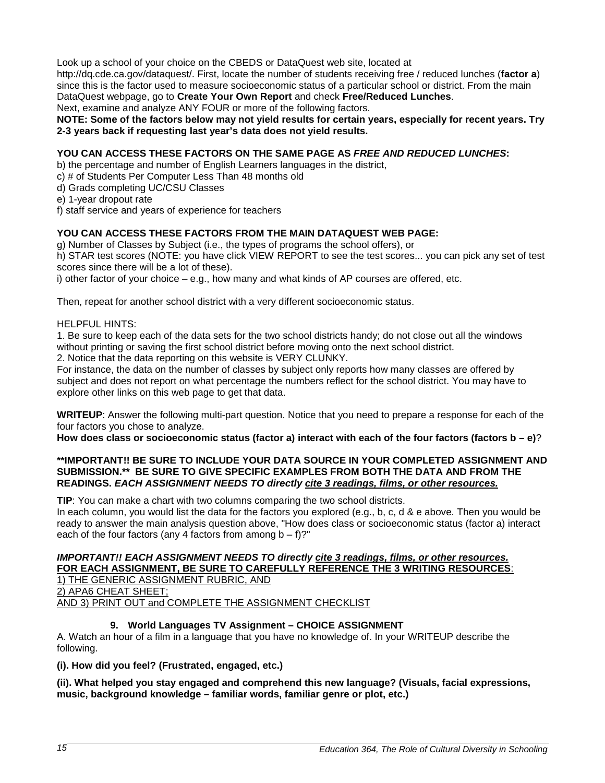Look up a school of your choice on the CBEDS or DataQuest web site, located at

http://dq.cde.ca.gov/dataquest/. First, locate the number of students receiving free / reduced lunches (**factor a**) since this is the factor used to measure socioeconomic status of a particular school or district. From the main DataQuest webpage, go to **Create Your Own Report** and check **Free/Reduced Lunches**. Next, examine and analyze ANY FOUR or more of the following factors.

**NOTE: Some of the factors below may not yield results for certain years, especially for recent years. Try 2-3 years back if requesting last year's data does not yield results.** 

#### **YOU CAN ACCESS THESE FACTORS ON THE SAME PAGE AS** *FREE AND REDUCED LUNCHES***:**

b) the percentage and number of English Learners languages in the district,

- c) # of Students Per Computer Less Than 48 months old
- d) Grads completing UC/CSU Classes
- e) 1-year dropout rate
- f) staff service and years of experience for teachers

#### **YOU CAN ACCESS THESE FACTORS FROM THE MAIN DATAQUEST WEB PAGE:**

g) Number of Classes by Subject (i.e., the types of programs the school offers), or

h) STAR test scores (NOTE: you have click VIEW REPORT to see the test scores... you can pick any set of test scores since there will be a lot of these).

i) other factor of your choice – e.g., how many and what kinds of AP courses are offered, etc.

Then, repeat for another school district with a very different socioeconomic status.

#### HELPFUL HINTS:

1. Be sure to keep each of the data sets for the two school districts handy; do not close out all the windows without printing or saving the first school district before moving onto the next school district.

2. Notice that the data reporting on this website is VERY CLUNKY.

For instance, the data on the number of classes by subject only reports how many classes are offered by subject and does not report on what percentage the numbers reflect for the school district. You may have to explore other links on this web page to get that data.

**WRITEUP**: Answer the following multi-part question. Notice that you need to prepare a response for each of the four factors you chose to analyze.

**How does class or socioeconomic status (factor a) interact with each of the four factors (factors b – e)**?

#### **\*\*IMPORTANT!! BE SURE TO INCLUDE YOUR DATA SOURCE IN YOUR COMPLETED ASSIGNMENT AND SUBMISSION.\*\* BE SURE TO GIVE SPECIFIC EXAMPLES FROM BOTH THE DATA AND FROM THE READINGS.** *EACH ASSIGNMENT NEEDS TO directly cite 3 readings, films, or other resources.*

**TIP**: You can make a chart with two columns comparing the two school districts.

In each column, you would list the data for the factors you explored (e.g., b, c, d & e above. Then you would be ready to answer the main analysis question above, "How does class or socioeconomic status (factor a) interact each of the four factors (any 4 factors from among  $b - f$ )?"

#### *IMPORTANT!! EACH ASSIGNMENT NEEDS TO directly cite 3 readings, films, or other resources.*  **FOR EACH ASSIGNMENT, BE SURE TO CAREFULLY REFERENCE THE 3 WRITING RESOURCES**: 1) THE GENERIC ASSIGNMENT RUBRIC, AND

2) APA6 CHEAT SHEET;

AND 3) PRINT OUT and COMPLETE THE ASSIGNMENT CHECKLIST

#### **9. World Languages TV Assignment – CHOICE ASSIGNMENT**

A. Watch an hour of a film in a language that you have no knowledge of. In your WRITEUP describe the following.

**(i). How did you feel? (Frustrated, engaged, etc.)** 

#### **(ii). What helped you stay engaged and comprehend this new language? (Visuals, facial expressions, music, background knowledge – familiar words, familiar genre or plot, etc.)**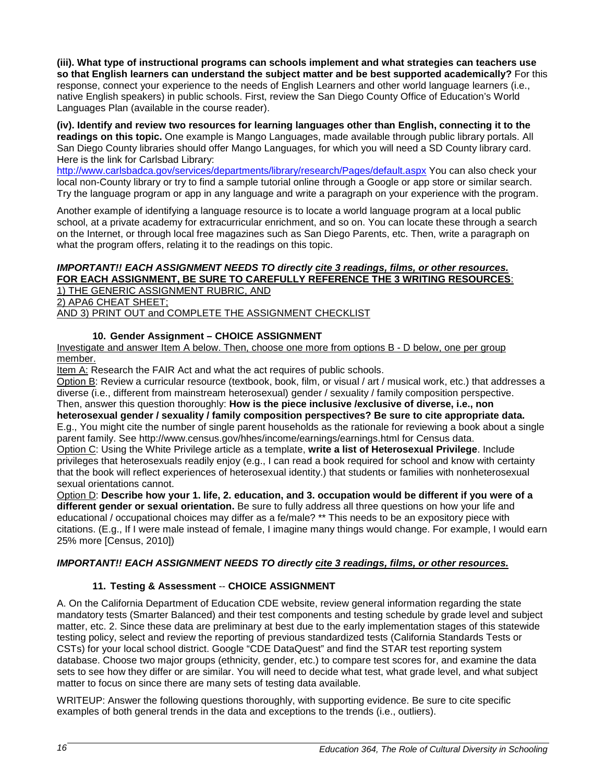**(iii). What type of instructional programs can schools implement and what strategies can teachers use so that English learners can understand the subject matter and be best supported academically?** For this response, connect your experience to the needs of English Learners and other world language learners (i.e., native English speakers) in public schools. First, review the San Diego County Office of Education's World Languages Plan (available in the course reader).

**(iv). Identify and review two resources for learning languages other than English, connecting it to the readings on this topic.** One example is Mango Languages, made available through public library portals. All San Diego County libraries should offer Mango Languages, for which you will need a SD County library card. Here is the link for Carlsbad Library:

<http://www.carlsbadca.gov/services/departments/library/research/Pages/default.aspx> You can also check your local non-County library or try to find a sample tutorial online through a Google or app store or similar search. Try the language program or app in any language and write a paragraph on your experience with the program.

Another example of identifying a language resource is to locate a world language program at a local public school, at a private academy for extracurricular enrichment, and so on. You can locate these through a search on the Internet, or through local free magazines such as San Diego Parents, etc. Then, write a paragraph on what the program offers, relating it to the readings on this topic.

## *IMPORTANT!! EACH ASSIGNMENT NEEDS TO directly cite 3 readings, films, or other resources.* **FOR EACH ASSIGNMENT, BE SURE TO CAREFULLY REFERENCE THE 3 WRITING RESOURCES**:

1) THE GENERIC ASSIGNMENT RUBRIC, AND

2) APA6 CHEAT SHEET;

AND 3) PRINT OUT and COMPLETE THE ASSIGNMENT CHECKLIST

#### **10. Gender Assignment – CHOICE ASSIGNMENT**

Investigate and answer Item A below. Then, choose one more from options B - D below, one per group member.

Item A: Research the FAIR Act and what the act requires of public schools.

Option B: Review a curricular resource (textbook, book, film, or visual / art / musical work, etc.) that addresses a diverse (i.e., different from mainstream heterosexual) gender / sexuality / family composition perspective. Then, answer this question thoroughly: **How is the piece inclusive /exclusive of diverse, i.e., non heterosexual gender / sexuality / family composition perspectives? Be sure to cite appropriate data.** E.g., You might cite the number of single parent households as the rationale for reviewing a book about a single parent family. See http://www.census.gov/hhes/income/earnings/earnings.html for Census data. Option C: Using the White Privilege article as a template, **write a list of Heterosexual Privilege**. Include privileges that heterosexuals readily enjoy (e.g., I can read a book required for school and know with certainty that the book will reflect experiences of heterosexual identity.) that students or families with nonheterosexual sexual orientations cannot.

Option D: **Describe how your 1. life, 2. education, and 3. occupation would be different if you were of a different gender or sexual orientation.** Be sure to fully address all three questions on how your life and educational / occupational choices may differ as a fe/male? \*\* This needs to be an expository piece with citations. (E.g., If I were male instead of female, I imagine many things would change. For example, I would earn 25% more [Census, 2010])

#### *IMPORTANT!! EACH ASSIGNMENT NEEDS TO directly cite 3 readings, films, or other resources.*

### **11. Testing & Assessment** -- **CHOICE ASSIGNMENT**

A. On the California Department of Education CDE website, review general information regarding the state mandatory tests (Smarter Balanced) and their test components and testing schedule by grade level and subject matter, etc. 2. Since these data are preliminary at best due to the early implementation stages of this statewide testing policy, select and review the reporting of previous standardized tests (California Standards Tests or CSTs) for your local school district. Google "CDE DataQuest" and find the STAR test reporting system database. Choose two major groups (ethnicity, gender, etc.) to compare test scores for, and examine the data sets to see how they differ or are similar. You will need to decide what test, what grade level, and what subject matter to focus on since there are many sets of testing data available.

WRITEUP: Answer the following questions thoroughly, with supporting evidence. Be sure to cite specific examples of both general trends in the data and exceptions to the trends (i.e., outliers).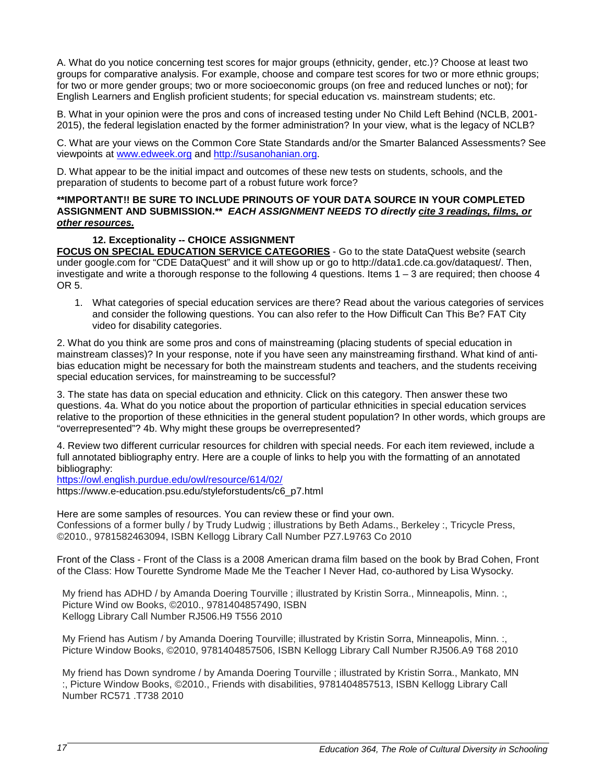A. What do you notice concerning test scores for major groups (ethnicity, gender, etc.)? Choose at least two groups for comparative analysis. For example, choose and compare test scores for two or more ethnic groups; for two or more gender groups; two or more socioeconomic groups (on free and reduced lunches or not); for English Learners and English proficient students; for special education vs. mainstream students; etc.

B. What in your opinion were the pros and cons of increased testing under No Child Left Behind (NCLB, 2001- 2015), the federal legislation enacted by the former administration? In your view, what is the legacy of NCLB?

C. What are your views on the Common Core State Standards and/or the Smarter Balanced Assessments? See viewpoints at [www.edweek.org](http://www.edweek.org/) and [http://susanohanian.org.](http://susanohanian.org/)

D. What appear to be the initial impact and outcomes of these new tests on students, schools, and the preparation of students to become part of a robust future work force?

#### **\*\*IMPORTANT!! BE SURE TO INCLUDE PRINOUTS OF YOUR DATA SOURCE IN YOUR COMPLETED ASSIGNMENT AND SUBMISSION.\*\*** *EACH ASSIGNMENT NEEDS TO directly cite 3 readings, films, or other resources.*

#### **12. Exceptionality -- CHOICE ASSIGNMENT**

**FOCUS ON SPECIAL EDUCATION SERVICE CATEGORIES** - Go to the state DataQuest website (search under google.com for "CDE DataQuest" and it will show up or go to http://data1.cde.ca.gov/dataquest/. Then, investigate and write a thorough response to the following 4 questions. Items 1 – 3 are required; then choose 4 OR 5.

1. What categories of special education services are there? Read about the various categories of services and consider the following questions. You can also refer to the How Difficult Can This Be? FAT City video for disability categories.

2. What do you think are some pros and cons of mainstreaming (placing students of special education in mainstream classes)? In your response, note if you have seen any mainstreaming firsthand. What kind of antibias education might be necessary for both the mainstream students and teachers, and the students receiving special education services, for mainstreaming to be successful?

3. The state has data on special education and ethnicity. Click on this category. Then answer these two questions. 4a. What do you notice about the proportion of particular ethnicities in special education services relative to the proportion of these ethnicities in the general student population? In other words, which groups are "overrepresented"? 4b. Why might these groups be overrepresented?

4. Review two different curricular resources for children with special needs. For each item reviewed, include a full annotated bibliography entry. Here are a couple of links to help you with the formatting of an annotated bibliography:

<https://owl.english.purdue.edu/owl/resource/614/02/>

https://www.e-education.psu.edu/styleforstudents/c6\_p7.html

Here are some samples of resources. You can review these or find your own. Confessions of a former bully / by Trudy Ludwig ; illustrations by Beth Adams., Berkeley :, Tricycle Press, ©2010., 9781582463094, ISBN Kellogg Library Call Number PZ7.L9763 Co 2010

Front of the Class - Front of the Class is a 2008 American drama film based on the book by Brad Cohen, Front of the Class: How Tourette Syndrome Made Me the Teacher I Never Had, co-authored by Lisa Wysocky.

My friend has ADHD / by Amanda Doering Tourville ; illustrated by Kristin Sorra., Minneapolis, Minn. :, Picture Wind ow Books, ©2010., 9781404857490, ISBN Kellogg Library Call Number RJ506.H9 T556 2010

My Friend has Autism / by Amanda Doering Tourville; illustrated by Kristin Sorra, Minneapolis, Minn. :, Picture Window Books, ©2010, 9781404857506, ISBN Kellogg Library Call Number RJ506.A9 T68 2010

My friend has Down syndrome / by Amanda Doering Tourville ; illustrated by Kristin Sorra., Mankato, MN :, Picture Window Books, ©2010., Friends with disabilities, 9781404857513, ISBN Kellogg Library Call Number RC571 .T738 2010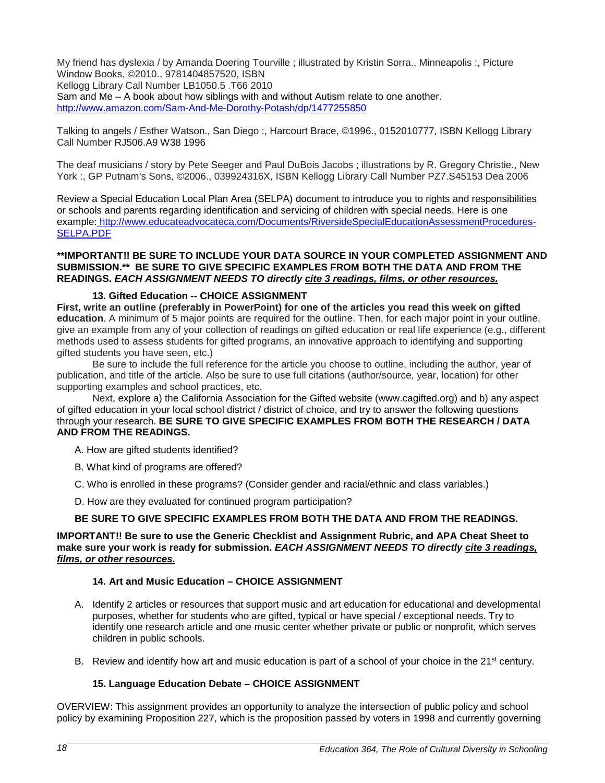My friend has dyslexia / by Amanda Doering Tourville ; illustrated by Kristin Sorra., Minneapolis :, Picture Window Books, ©2010., 9781404857520, ISBN Kellogg Library Call Number LB1050.5 .T66 2010

Sam and Me – A book about how siblings with and without Autism relate to one another. <http://www.amazon.com/Sam-And-Me-Dorothy-Potash/dp/1477255850>

Talking to angels / Esther Watson., San Diego :, Harcourt Brace, ©1996., 0152010777, ISBN Kellogg Library Call Number RJ506.A9 W38 1996

The deaf musicians / story by Pete Seeger and Paul DuBois Jacobs ; illustrations by R. Gregory Christie., New York :, GP Putnam's Sons, ©2006., 039924316X, ISBN Kellogg Library Call Number PZ7.S45153 Dea 2006

Review a Special Education Local Plan Area (SELPA) document to introduce you to rights and responsibilities or schools and parents regarding identification and servicing of children with special needs. Here is one example: http://www.educateadvocateca.com/Documents/RiversideSpecialEducationAssessmentProcedures-SELPA.PDF

#### **\*\*IMPORTANT!! BE SURE TO INCLUDE YOUR DATA SOURCE IN YOUR COMPLETED ASSIGNMENT AND SUBMISSION.\*\* BE SURE TO GIVE SPECIFIC EXAMPLES FROM BOTH THE DATA AND FROM THE READINGS.** *EACH ASSIGNMENT NEEDS TO directly cite 3 readings, films, or other resources.*

#### **13. Gifted Education -- CHOICE ASSIGNMENT**

**First, write an outline (preferably in PowerPoint) for one of the articles you read this week on gifted education**. A minimum of 5 major points are required for the outline. Then, for each major point in your outline, give an example from any of your collection of readings on gifted education or real life experience (e.g., different methods used to assess students for gifted programs, an innovative approach to identifying and supporting gifted students you have seen, etc.)

Be sure to include the full reference for the article you choose to outline, including the author, year of publication, and title of the article. Also be sure to use full citations (author/source, year, location) for other supporting examples and school practices, etc.

Next, explore a) the California Association for the Gifted website (www.cagifted.org) and b) any aspect of gifted education in your local school district / district of choice, and try to answer the following questions through your research. **BE SURE TO GIVE SPECIFIC EXAMPLES FROM BOTH THE RESEARCH / DATA AND FROM THE READINGS.**

A. How are gifted students identified?

- B. What kind of programs are offered?
- C. Who is enrolled in these programs? (Consider gender and racial/ethnic and class variables.)
- D. How are they evaluated for continued program participation?

#### **BE SURE TO GIVE SPECIFIC EXAMPLES FROM BOTH THE DATA AND FROM THE READINGS.**

#### **IMPORTANT!! Be sure to use the Generic Checklist and Assignment Rubric, and APA Cheat Sheet to make sure your work is ready for submission.** *EACH ASSIGNMENT NEEDS TO directly cite 3 readings, films, or other resources.*

#### **14. Art and Music Education – CHOICE ASSIGNMENT**

- A. Identify 2 articles or resources that support music and art education for educational and developmental purposes, whether for students who are gifted, typical or have special / exceptional needs. Try to identify one research article and one music center whether private or public or nonprofit, which serves children in public schools.
- B. Review and identify how art and music education is part of a school of your choice in the 21<sup>st</sup> century.

#### **15. Language Education Debate – CHOICE ASSIGNMENT**

OVERVIEW: This assignment provides an opportunity to analyze the intersection of public policy and school policy by examining Proposition 227, which is the proposition passed by voters in 1998 and currently governing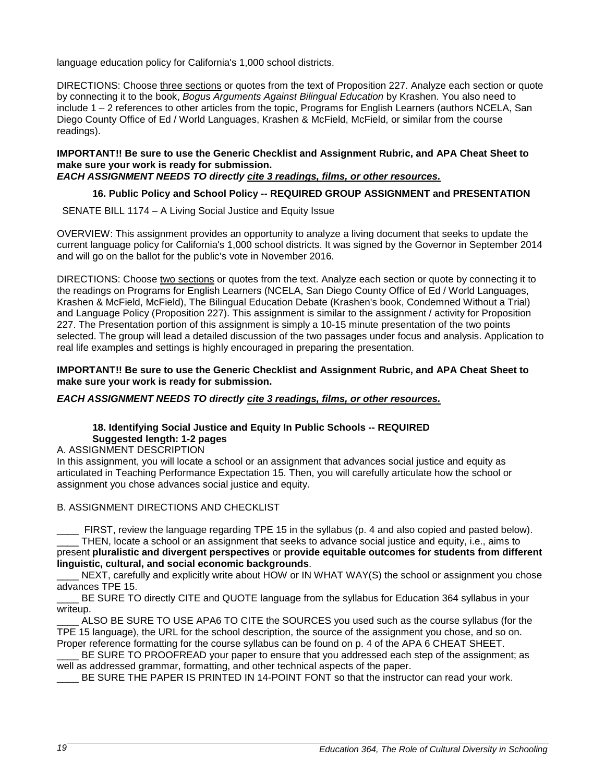language education policy for California's 1,000 school districts.

DIRECTIONS: Choose three sections or quotes from the text of Proposition 227. Analyze each section or quote by connecting it to the book, *Bogus Arguments Against Bilingual Education* by Krashen. You also need to include 1 – 2 references to other articles from the topic, Programs for English Learners (authors NCELA, San Diego County Office of Ed / World Languages, Krashen & McField, McField, or similar from the course readings).

#### **IMPORTANT!! Be sure to use the Generic Checklist and Assignment Rubric, and APA Cheat Sheet to make sure your work is ready for submission.**

#### *EACH ASSIGNMENT NEEDS TO directly cite 3 readings, films, or other resources.*

#### **16. Public Policy and School Policy -- REQUIRED GROUP ASSIGNMENT and PRESENTATION**

SENATE BILL 1174 – A Living Social Justice and Equity Issue

OVERVIEW: This assignment provides an opportunity to analyze a living document that seeks to update the current language policy for California's 1,000 school districts. It was signed by the Governor in September 2014 and will go on the ballot for the public's vote in November 2016.

DIRECTIONS: Choose two sections or quotes from the text. Analyze each section or quote by connecting it to the readings on Programs for English Learners (NCELA, San Diego County Office of Ed / World Languages, Krashen & McField, McField), The Bilingual Education Debate (Krashen's book, Condemned Without a Trial) and Language Policy (Proposition 227). This assignment is similar to the assignment / activity for Proposition 227. The Presentation portion of this assignment is simply a 10-15 minute presentation of the two points selected. The group will lead a detailed discussion of the two passages under focus and analysis. Application to real life examples and settings is highly encouraged in preparing the presentation.

#### **IMPORTANT!! Be sure to use the Generic Checklist and Assignment Rubric, and APA Cheat Sheet to make sure your work is ready for submission.**

#### *EACH ASSIGNMENT NEEDS TO directly cite 3 readings, films, or other resources.*

#### **18. Identifying Social Justice and Equity In Public Schools -- REQUIRED Suggested length: 1-2 pages**

A. ASSIGNMENT DESCRIPTION

In this assignment, you will locate a school or an assignment that advances social justice and equity as articulated in Teaching Performance Expectation 15. Then, you will carefully articulate how the school or assignment you chose advances social justice and equity.

#### B. ASSIGNMENT DIRECTIONS AND CHECKLIST

\_\_\_\_ FIRST, review the language regarding TPE 15 in the syllabus (p. 4 and also copied and pasted below). \_\_\_\_ THEN, locate a school or an assignment that seeks to advance social justice and equity, i.e., aims to present **pluralistic and divergent perspectives** or **provide equitable outcomes for students from different linguistic, cultural, and social economic backgrounds**.

NEXT, carefully and explicitly write about HOW or IN WHAT WAY(S) the school or assignment you chose advances TPE 15.

BE SURE TO directly CITE and QUOTE language from the syllabus for Education 364 syllabus in your writeup.

ALSO BE SURE TO USE APA6 TO CITE the SOURCES you used such as the course syllabus (for the TPE 15 language), the URL for the school description, the source of the assignment you chose, and so on. Proper reference formatting for the course syllabus can be found on p. 4 of the APA 6 CHEAT SHEET.

BE SURE TO PROOFREAD your paper to ensure that you addressed each step of the assignment; as well as addressed grammar, formatting, and other technical aspects of the paper.

\_\_\_\_ BE SURE THE PAPER IS PRINTED IN 14-POINT FONT so that the instructor can read your work.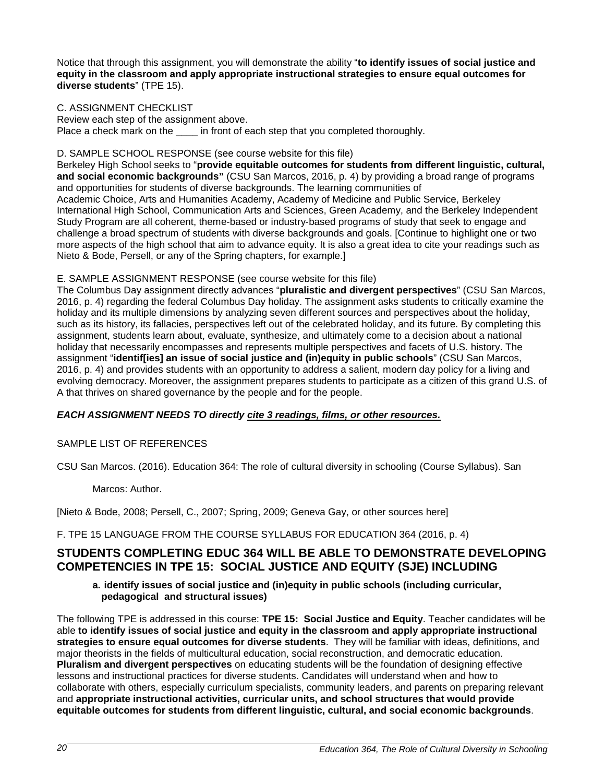Notice that through this assignment, you will demonstrate the ability "**to identify issues of social justice and equity in the classroom and apply appropriate instructional strategies to ensure equal outcomes for diverse students**" (TPE 15).

#### C. ASSIGNMENT CHECKLIST

Review each step of the assignment above. Place a check mark on the \_\_\_\_\_ in front of each step that you completed thoroughly.

#### D. SAMPLE SCHOOL RESPONSE (see course website for this file)

Berkeley High School seeks to "**provide equitable outcomes for students from different linguistic, cultural, and social economic backgrounds"** (CSU San Marcos, 2016, p. 4) by providing a broad range of programs and opportunities for students of diverse backgrounds. The learning communities of Academic Choice, Arts and Humanities Academy, Academy of Medicine and Public Service, Berkeley International High School, Communication Arts and Sciences, Green Academy, and the Berkeley Independent Study Program are all coherent, theme-based or industry-based programs of study that seek to engage and challenge a broad spectrum of students with diverse backgrounds and goals. [Continue to highlight one or two more aspects of the high school that aim to advance equity. It is also a great idea to cite your readings such as Nieto & Bode, Persell, or any of the Spring chapters, for example.]

#### E. SAMPLE ASSIGNMENT RESPONSE (see course website for this file)

The Columbus Day assignment directly advances "**pluralistic and divergent perspectives**" (CSU San Marcos, 2016, p. 4) regarding the federal Columbus Day holiday. The assignment asks students to critically examine the holiday and its multiple dimensions by analyzing seven different sources and perspectives about the holiday, such as its history, its fallacies, perspectives left out of the celebrated holiday, and its future. By completing this assignment, students learn about, evaluate, synthesize, and ultimately come to a decision about a national holiday that necessarily encompasses and represents multiple perspectives and facets of U.S. history. The assignment "**identif[ies] an issue of social justice and (in)equity in public schools**" (CSU San Marcos, 2016, p. 4) and provides students with an opportunity to address a salient, modern day policy for a living and evolving democracy. Moreover, the assignment prepares students to participate as a citizen of this grand U.S. of A that thrives on shared governance by the people and for the people.

#### *EACH ASSIGNMENT NEEDS TO directly cite 3 readings, films, or other resources.*

#### SAMPLE LIST OF REFERENCES

CSU San Marcos. (2016). Education 364: The role of cultural diversity in schooling (Course Syllabus). San

Marcos: Author.

[Nieto & Bode, 2008; Persell, C., 2007; Spring, 2009; Geneva Gay, or other sources here]

F. TPE 15 LANGUAGE FROM THE COURSE SYLLABUS FOR EDUCATION 364 (2016, p. 4)

#### **STUDENTS COMPLETING EDUC 364 WILL BE ABLE TO DEMONSTRATE DEVELOPING COMPETENCIES IN TPE 15: SOCIAL JUSTICE AND EQUITY (SJE) INCLUDING**

#### **a. identify issues of social justice and (in)equity in public schools (including curricular, pedagogical and structural issues)**

The following TPE is addressed in this course: **TPE 15: Social Justice and Equity**. Teacher candidates will be able **to identify issues of social justice and equity in the classroom and apply appropriate instructional strategies to ensure equal outcomes for diverse students**. They will be familiar with ideas, definitions, and major theorists in the fields of multicultural education, social reconstruction, and democratic education. **Pluralism and divergent perspectives** on educating students will be the foundation of designing effective lessons and instructional practices for diverse students. Candidates will understand when and how to collaborate with others, especially curriculum specialists, community leaders, and parents on preparing relevant and **appropriate instructional activities, curricular units, and school structures that would provide equitable outcomes for students from different linguistic, cultural, and social economic backgrounds**.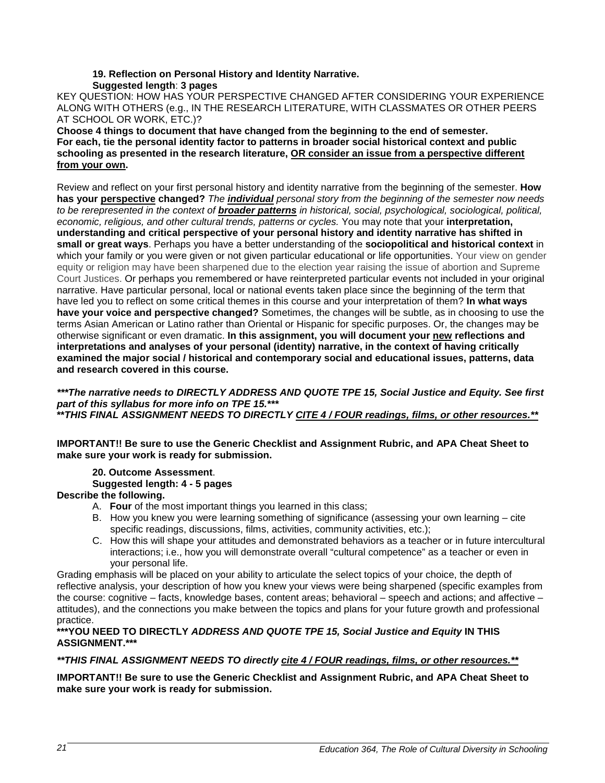#### **19. Reflection on Personal History and Identity Narrative. Suggested length**: **3 pages**

KEY QUESTION: HOW HAS YOUR PERSPECTIVE CHANGED AFTER CONSIDERING YOUR EXPERIENCE ALONG WITH OTHERS (e.g., IN THE RESEARCH LITERATURE, WITH CLASSMATES OR OTHER PEERS AT SCHOOL OR WORK, ETC.)?

**Choose 4 things to document that have changed from the beginning to the end of semester. For each, tie the personal identity factor to patterns in broader social historical context and public schooling as presented in the research literature, OR consider an issue from a perspective different from your own.** 

Review and reflect on your first personal history and identity narrative from the beginning of the semester. **How has your perspective changed?** *The individual personal story from the beginning of the semester now needs to be rerepresented in the context of broader patterns in historical, social, psychological, sociological, political, economic, religious, and other cultural trends, patterns or cycles.* You may note that your **interpretation, understanding and critical perspective of your personal history and identity narrative has shifted in small or great ways**. Perhaps you have a better understanding of the **sociopolitical and historical context** in which your family or you were given or not given particular educational or life opportunities. Your view on gender equity or religion may have been sharpened due to the election year raising the issue of abortion and Supreme Court Justices. Or perhaps you remembered or have reinterpreted particular events not included in your original narrative. Have particular personal, local or national events taken place since the beginning of the term that have led you to reflect on some critical themes in this course and your interpretation of them? **In what ways have your voice and perspective changed?** Sometimes, the changes will be subtle, as in choosing to use the terms Asian American or Latino rather than Oriental or Hispanic for specific purposes. Or, the changes may be otherwise significant or even dramatic. **In this assignment, you will document your new reflections and interpretations and analyses of your personal (identity) narrative, in the context of having critically examined the major social / historical and contemporary social and educational issues, patterns, data and research covered in this course.** 

*\*\*\*The narrative needs to DIRECTLY ADDRESS AND QUOTE TPE 15, Social Justice and Equity. See first part of this syllabus for more info on TPE 15.\*\*\** **\*\****THIS FINAL ASSIGNMENT NEEDS TO DIRECTLY CITE 4 / FOUR readings, films, or other resources.\*\**

**IMPORTANT!! Be sure to use the Generic Checklist and Assignment Rubric, and APA Cheat Sheet to make sure your work is ready for submission.**

#### **20. Outcome Assessment**.

#### **Suggested length: 4 - 5 pages**

#### **Describe the following.**

- A. **Four** of the most important things you learned in this class;
- B. How you knew you were learning something of significance (assessing your own learning cite specific readings, discussions, films, activities, community activities, etc.);
- C. How this will shape your attitudes and demonstrated behaviors as a teacher or in future intercultural interactions; i.e., how you will demonstrate overall "cultural competence" as a teacher or even in your personal life.

Grading emphasis will be placed on your ability to articulate the select topics of your choice, the depth of reflective analysis, your description of how you knew your views were being sharpened (specific examples from the course: cognitive – facts, knowledge bases, content areas; behavioral – speech and actions; and affective – attitudes), and the connections you make between the topics and plans for your future growth and professional practice.

#### **\*\*\*YOU NEED TO DIRECTLY** *ADDRESS AND QUOTE TPE 15, Social Justice and Equity* **IN THIS ASSIGNMENT.\*\*\***

#### *\*\*THIS FINAL ASSIGNMENT NEEDS TO directly cite 4 / FOUR readings, films, or other resources.\*\**

**IMPORTANT!! Be sure to use the Generic Checklist and Assignment Rubric, and APA Cheat Sheet to make sure your work is ready for submission.**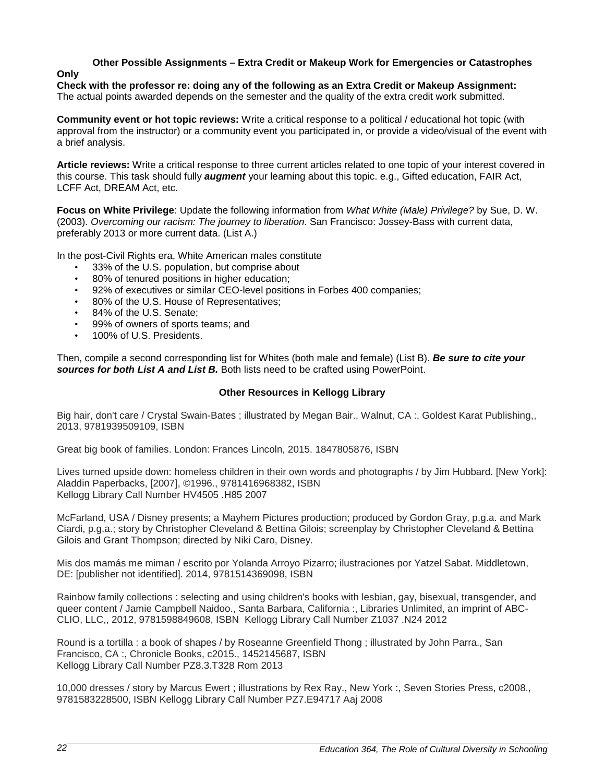## **Other Possible Assignments – Extra Credit or Makeup Work for Emergencies or Catastrophes**

#### **Only**

**Check with the professor re: doing any of the following as an Extra Credit or Makeup Assignment:** The actual points awarded depends on the semester and the quality of the extra credit work submitted.

**Community event or hot topic reviews:** Write a critical response to a political / educational hot topic (with approval from the instructor) or a community event you participated in, or provide a video/visual of the event with a brief analysis.

**Article reviews:** Write a critical response to three current articles related to one topic of your interest covered in this course. This task should fully *augment* your learning about this topic. e.g., Gifted education, FAIR Act, LCFF Act, DREAM Act, etc.

**Focus on White Privilege**: Update the following information from *What White (Male) Privilege?* by Sue, D. W. (2003). *Overcoming our racism: The journey to liberation*. San Francisco: Jossey-Bass with current data, preferably 2013 or more current data. (List A.)

In the post-Civil Rights era, White American males constitute

- 33% of the U.S. population, but comprise about
- 80% of tenured positions in higher education;
- 92% of executives or similar CEO-level positions in Forbes 400 companies;
- 80% of the U.S. House of Representatives;
- 84% of the U.S. Senate;
- 99% of owners of sports teams; and
- 100% of U.S. Presidents.

Then, compile a second corresponding list for Whites (both male and female) (List B). *Be sure to cite your sources for both List A and List B.* Both lists need to be crafted using PowerPoint.

#### **Other Resources in Kellogg Library**

Big hair, don't care / Crystal Swain-Bates ; illustrated by Megan Bair., Walnut, CA :, Goldest Karat Publishing,, 2013, 9781939509109, ISBN

Great big book of families. London: Frances Lincoln, 2015. 1847805876, ISBN

Lives turned upside down: homeless children in their own words and photographs / by Jim Hubbard. [New York]: Aladdin Paperbacks, [2007], ©1996., 9781416968382, ISBN Kellogg Library Call Number HV4505 .H85 2007

McFarland, USA / Disney presents; a Mayhem Pictures production; produced by Gordon Gray, p.g.a. and Mark Ciardi, p.g.a.; story by Christopher Cleveland & Bettina Gilois; screenplay by Christopher Cleveland & Bettina Gilois and Grant Thompson; directed by Niki Caro, Disney.

Mis dos mamás me miman / escrito por Yolanda Arroyo Pizarro; ilustraciones por Yatzel Sabat. Middletown, DE: [publisher not identified]. 2014, 9781514369098, ISBN

Rainbow family collections : selecting and using children's books with lesbian, gay, bisexual, transgender, and queer content / Jamie Campbell Naidoo., Santa Barbara, California :, Libraries Unlimited, an imprint of ABC-CLIO, LLC,, 2012, 9781598849608, ISBN Kellogg Library Call Number Z1037 .N24 2012

Round is a tortilla : a book of shapes / by Roseanne Greenfield Thong ; illustrated by John Parra., San Francisco, CA :, Chronicle Books, c2015., 1452145687, ISBN Kellogg Library Call Number PZ8.3.T328 Rom 2013

10,000 dresses / story by Marcus Ewert ; illustrations by Rex Ray., New York :, Seven Stories Press, c2008., 9781583228500, ISBN Kellogg Library Call Number PZ7.E94717 Aaj 2008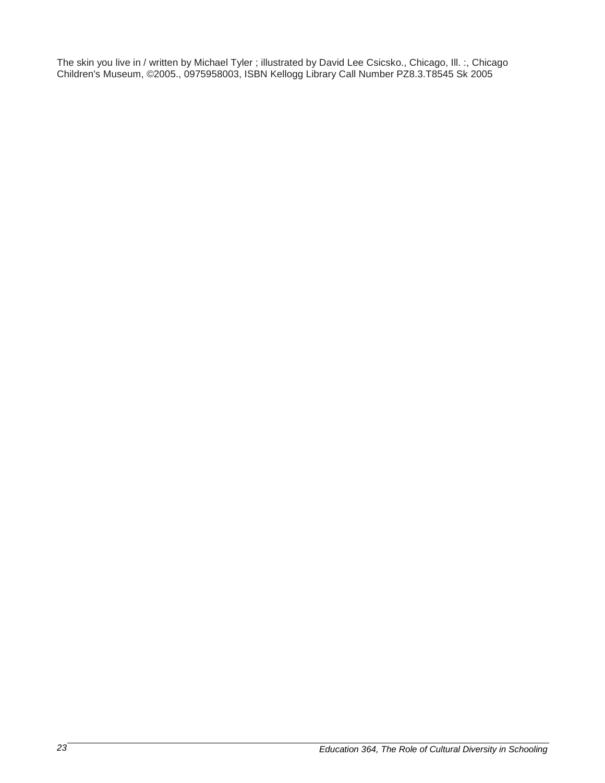The skin you live in / written by Michael Tyler ; illustrated by David Lee Csicsko., Chicago, Ill. :, Chicago Children's Museum, ©2005., 0975958003, ISBN Kellogg Library Call Number PZ8.3.T8545 Sk 2005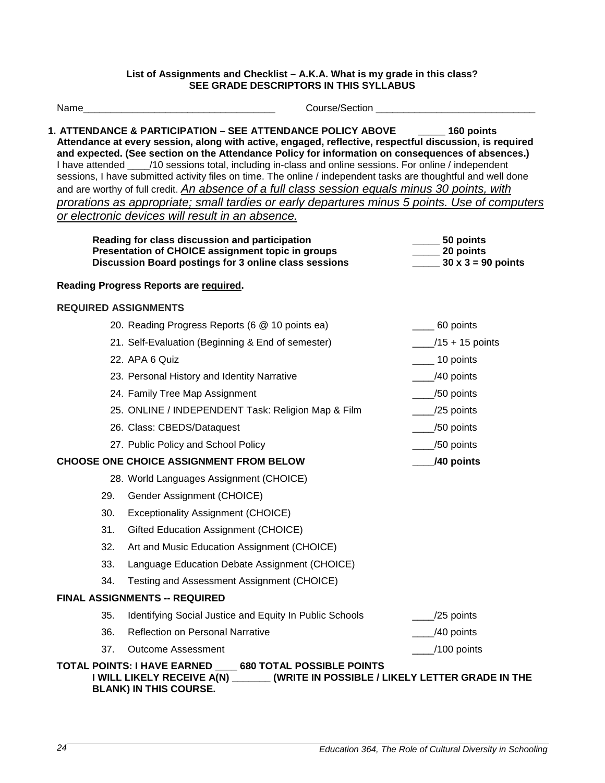#### **List of Assignments and Checklist – A.K.A. What is my grade in this class? SEE GRADE DESCRIPTORS IN THIS SYLLABUS**

Name example and the course of Course/Section \_\_\_\_\_\_\_\_\_\_\_\_\_\_\_\_\_\_\_\_\_\_\_\_\_\_\_\_\_\_\_\_\_\_

**1. ATTENDANCE & PARTICIPATION – SEE ATTENDANCE POLICY ABOVE \_\_\_\_\_ 160 points Attendance at every session, along with active, engaged, reflective, respectful discussion, is required and expected. (See section on the Attendance Policy for information on consequences of absences.)**  I have attended  $\frac{1}{10}$  sessions total, including in-class and online sessions. For online / independent sessions, I have submitted activity files on time. The online / independent tasks are thoughtful and well done and are worthy of full credit. *An absence of a full class session equals minus 30 points, with prorations as appropriate; small tardies or early departures minus 5 points. Use of computers or electronic devices will result in an absence.*

| Reading for class discussion and participation        | 50 points                 |
|-------------------------------------------------------|---------------------------|
| Presentation of CHOICE assignment topic in groups     | 20 points                 |
| Discussion Board postings for 3 online class sessions | $30 \times 3 = 90$ points |

#### **Reading Progress Reports are required.**

#### **REQUIRED ASSIGNMENTS**

- 20. Reading Progress Reports (6 @ 10 points ea) 60 points 21. Self-Evaluation (Beginning & End of semester) \_\_\_\_/15 + 15 points
- 22. APA 6 Quiz 22. APA 6 Quiz 22. APA 6 Quiz 22. APA 6 Quiz 22. APA 6 Quiz 22. APA 6 Quiz 22. APA 6 Quiz 22. APA 6 Quiz 22. APA 6 Quiz 22. APA 6 Quiz 22. APA 6 Quiz 22. APA 6 Quiz 22. APA 6 Quiz 22. APA 6 Quiz 22. APA 6 Qu
- 23. Personal History and Identity Narrative **23.** Personal History and Identity Narrative
- 24. Family Tree Map Assignment **24. Family Tree Map Assignment** 250 points
- 25. ONLINE / INDEPENDENT Task: Religion Map & Film \_\_\_\_/25 points
- 26. Class: CBEDS/Dataquest \_\_\_\_/50 points
- 27. Public Policy and School Policy 27. Public Policy 27.

#### **CHOOSE ONE CHOICE ASSIGNMENT FROM BELOW \_\_\_\_/40 points**

- 28. World Languages Assignment (CHOICE)
- 29. Gender Assignment (CHOICE)
- 30. Exceptionality Assignment (CHOICE)
- 31. Gifted Education Assignment (CHOICE)
- 32. Art and Music Education Assignment (CHOICE)
- 33. Language Education Debate Assignment (CHOICE)
- 34. Testing and Assessment Assignment (CHOICE)

#### **FINAL ASSIGNMENTS -- REQUIRED**

| 35. | Identifying Social Justice and Equity In Public Schools | $/25$ points             |
|-----|---------------------------------------------------------|--------------------------|
| 36. | <b>Reflection on Personal Narrative</b>                 | $\frac{1}{2}$ /40 points |

# 37. Outcome Assessment **All and Structure Control** 200 points and 200 points and 200 points **TOTAL POINTS: I HAVE EARNED \_\_\_\_ 680 TOTAL POSSIBLE POINTS**

#### **I WILL LIKELY RECEIVE A(N) \_\_\_\_\_\_\_ (WRITE IN POSSIBLE / LIKELY LETTER GRADE IN THE BLANK) IN THIS COURSE.**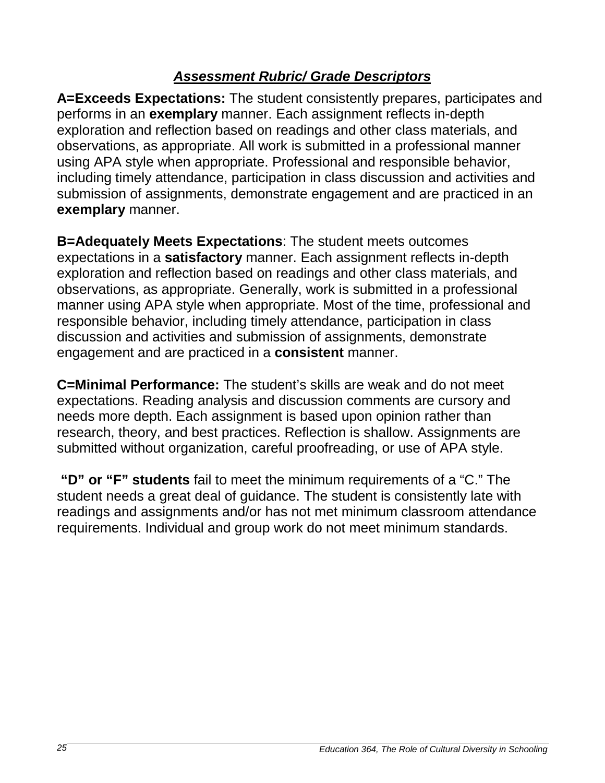# *Assessment Rubric/ Grade Descriptors*

**A=Exceeds Expectations:** The student consistently prepares, participates and performs in an **exemplary** manner. Each assignment reflects in-depth exploration and reflection based on readings and other class materials, and observations, as appropriate. All work is submitted in a professional manner using APA style when appropriate. Professional and responsible behavior, including timely attendance, participation in class discussion and activities and submission of assignments, demonstrate engagement and are practiced in an **exemplary** manner.

**B=Adequately Meets Expectations**: The student meets outcomes expectations in a **satisfactory** manner. Each assignment reflects in-depth exploration and reflection based on readings and other class materials, and observations, as appropriate. Generally, work is submitted in a professional manner using APA style when appropriate. Most of the time, professional and responsible behavior, including timely attendance, participation in class discussion and activities and submission of assignments, demonstrate engagement and are practiced in a **consistent** manner.

**C=Minimal Performance:** The student's skills are weak and do not meet expectations. Reading analysis and discussion comments are cursory and needs more depth. Each assignment is based upon opinion rather than research, theory, and best practices. Reflection is shallow. Assignments are submitted without organization, careful proofreading, or use of APA style.

**"D" or "F" students** fail to meet the minimum requirements of a "C." The student needs a great deal of guidance. The student is consistently late with readings and assignments and/or has not met minimum classroom attendance requirements. Individual and group work do not meet minimum standards.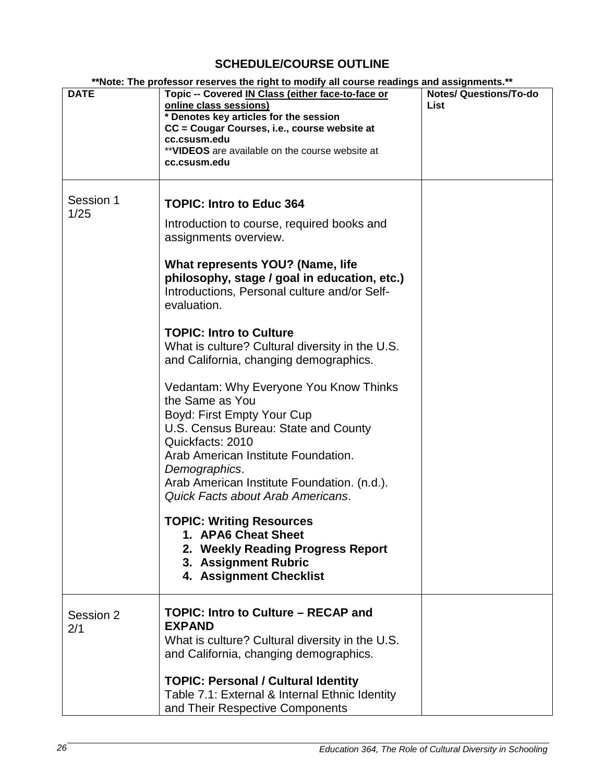## **SCHEDULE/COURSE OUTLINE**

| **Note: The professor reserves the right to modify all course readings and assignments.** |                                                                                                                                                                                                                                                                                                                                                                                                                                                                                                                                                                                                                                                                                                                                                                                                                                               |                                       |
|-------------------------------------------------------------------------------------------|-----------------------------------------------------------------------------------------------------------------------------------------------------------------------------------------------------------------------------------------------------------------------------------------------------------------------------------------------------------------------------------------------------------------------------------------------------------------------------------------------------------------------------------------------------------------------------------------------------------------------------------------------------------------------------------------------------------------------------------------------------------------------------------------------------------------------------------------------|---------------------------------------|
| <b>DATE</b>                                                                               | Topic -- Covered IN Class (either face-to-face or<br>online class sessions)<br>* Denotes key articles for the session<br>CC = Cougar Courses, i.e., course website at<br>cc.csusm.edu<br>** VIDEOS are available on the course website at<br>cc.csusm.edu                                                                                                                                                                                                                                                                                                                                                                                                                                                                                                                                                                                     | <b>Notes/ Questions/To-do</b><br>List |
| Session 1<br>1/25                                                                         | <b>TOPIC: Intro to Educ 364</b><br>Introduction to course, required books and<br>assignments overview.<br>What represents YOU? (Name, life<br>philosophy, stage / goal in education, etc.)<br>Introductions, Personal culture and/or Self-<br>evaluation.<br><b>TOPIC: Intro to Culture</b><br>What is culture? Cultural diversity in the U.S.<br>and California, changing demographics.<br>Vedantam: Why Everyone You Know Thinks<br>the Same as You<br>Boyd: First Empty Your Cup<br>U.S. Census Bureau: State and County<br>Quickfacts: 2010<br>Arab American Institute Foundation.<br>Demographics.<br>Arab American Institute Foundation. (n.d.).<br>Quick Facts about Arab Americans.<br><b>TOPIC: Writing Resources</b><br>1. APA6 Cheat Sheet<br>2. Weekly Reading Progress Report<br>3. Assignment Rubric<br>4. Assignment Checklist |                                       |
| Session 2<br>2/1                                                                          | <b>TOPIC: Intro to Culture - RECAP and</b><br><b>EXPAND</b><br>What is culture? Cultural diversity in the U.S.<br>and California, changing demographics.<br><b>TOPIC: Personal / Cultural Identity</b><br>Table 7.1: External & Internal Ethnic Identity<br>and Their Respective Components                                                                                                                                                                                                                                                                                                                                                                                                                                                                                                                                                   |                                       |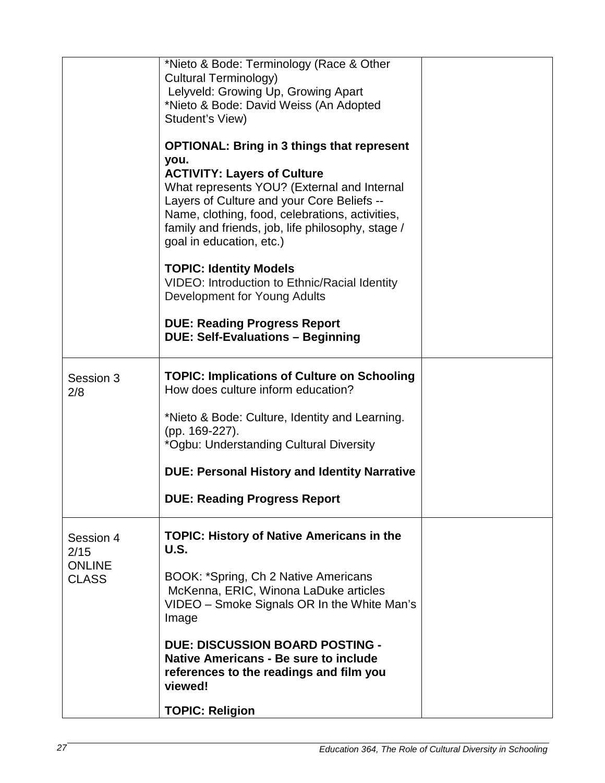|                                    | *Nieto & Bode: Terminology (Race & Other<br>Cultural Terminology)<br>Lelyveld: Growing Up, Growing Apart<br>*Nieto & Bode: David Weiss (An Adopted<br>Student's View)                                                                                                                                                            |  |
|------------------------------------|----------------------------------------------------------------------------------------------------------------------------------------------------------------------------------------------------------------------------------------------------------------------------------------------------------------------------------|--|
|                                    | <b>OPTIONAL: Bring in 3 things that represent</b><br>you.<br><b>ACTIVITY: Layers of Culture</b><br>What represents YOU? (External and Internal<br>Layers of Culture and your Core Beliefs --<br>Name, clothing, food, celebrations, activities,<br>family and friends, job, life philosophy, stage /<br>goal in education, etc.) |  |
|                                    | <b>TOPIC: Identity Models</b><br>VIDEO: Introduction to Ethnic/Racial Identity<br>Development for Young Adults                                                                                                                                                                                                                   |  |
|                                    | <b>DUE: Reading Progress Report</b><br><b>DUE: Self-Evaluations - Beginning</b>                                                                                                                                                                                                                                                  |  |
| Session 3<br>2/8                   | <b>TOPIC: Implications of Culture on Schooling</b><br>How does culture inform education?                                                                                                                                                                                                                                         |  |
|                                    | *Nieto & Bode: Culture, Identity and Learning.<br>(pp. 169-227).<br>*Ogbu: Understanding Cultural Diversity                                                                                                                                                                                                                      |  |
|                                    | <b>DUE: Personal History and Identity Narrative</b>                                                                                                                                                                                                                                                                              |  |
|                                    | <b>DUE: Reading Progress Report</b>                                                                                                                                                                                                                                                                                              |  |
| Session 4<br>2/15<br><b>ONLINE</b> | <b>TOPIC: History of Native Americans in the</b><br><b>U.S.</b>                                                                                                                                                                                                                                                                  |  |
| <b>CLASS</b>                       | BOOK: *Spring, Ch 2 Native Americans<br>McKenna, ERIC, Winona LaDuke articles<br>VIDEO - Smoke Signals OR In the White Man's<br>Image                                                                                                                                                                                            |  |
|                                    | <b>DUE: DISCUSSION BOARD POSTING -</b><br>Native Americans - Be sure to include<br>references to the readings and film you<br>viewed!                                                                                                                                                                                            |  |
|                                    | <b>TOPIC: Religion</b>                                                                                                                                                                                                                                                                                                           |  |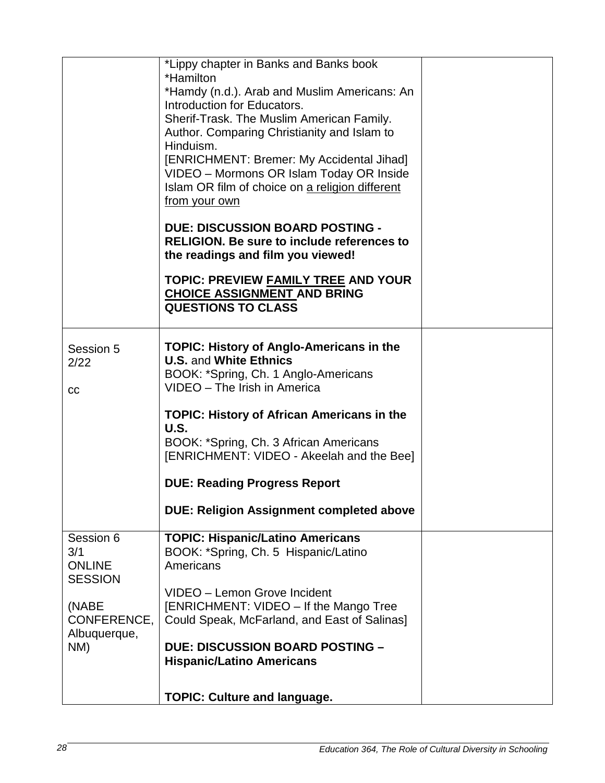|                                                     | *Lippy chapter in Banks and Banks book<br>*Hamilton<br>*Hamdy (n.d.). Arab and Muslim Americans: An<br>Introduction for Educators.<br>Sherif-Trask. The Muslim American Family.<br>Author. Comparing Christianity and Islam to<br>Hinduism.<br>[ENRICHMENT: Bremer: My Accidental Jihad]<br>VIDEO - Mormons OR Islam Today OR Inside<br>Islam OR film of choice on a religion different |  |
|-----------------------------------------------------|-----------------------------------------------------------------------------------------------------------------------------------------------------------------------------------------------------------------------------------------------------------------------------------------------------------------------------------------------------------------------------------------|--|
|                                                     | from your own<br><b>DUE: DISCUSSION BOARD POSTING -</b><br><b>RELIGION.</b> Be sure to include references to<br>the readings and film you viewed!                                                                                                                                                                                                                                       |  |
|                                                     | <b>TOPIC: PREVIEW FAMILY TREE AND YOUR</b><br><b>CHOICE ASSIGNMENT AND BRING</b><br><b>QUESTIONS TO CLASS</b>                                                                                                                                                                                                                                                                           |  |
| Session 5<br>2/22<br><b>CC</b>                      | <b>TOPIC: History of Anglo-Americans in the</b><br><b>U.S. and White Ethnics</b><br>BOOK: *Spring, Ch. 1 Anglo-Americans<br>VIDEO - The Irish in America                                                                                                                                                                                                                                |  |
|                                                     | <b>TOPIC: History of African Americans in the</b><br><b>U.S.</b><br>BOOK: *Spring, Ch. 3 African Americans<br>[ENRICHMENT: VIDEO - Akeelah and the Bee]                                                                                                                                                                                                                                 |  |
|                                                     | <b>DUE: Reading Progress Report</b>                                                                                                                                                                                                                                                                                                                                                     |  |
|                                                     | <b>DUE: Religion Assignment completed above</b>                                                                                                                                                                                                                                                                                                                                         |  |
| Session 6<br>3/1<br><b>ONLINE</b><br><b>SESSION</b> | <b>TOPIC: Hispanic/Latino Americans</b><br>BOOK: *Spring, Ch. 5 Hispanic/Latino<br>Americans                                                                                                                                                                                                                                                                                            |  |
| (NABE<br>CONFERENCE,<br>Albuquerque,                | VIDEO - Lemon Grove Incident<br>[ENRICHMENT: VIDEO - If the Mango Tree<br>Could Speak, McFarland, and East of Salinas]                                                                                                                                                                                                                                                                  |  |
| NM)                                                 | <b>DUE: DISCUSSION BOARD POSTING -</b><br><b>Hispanic/Latino Americans</b>                                                                                                                                                                                                                                                                                                              |  |
|                                                     | <b>TOPIC: Culture and language.</b>                                                                                                                                                                                                                                                                                                                                                     |  |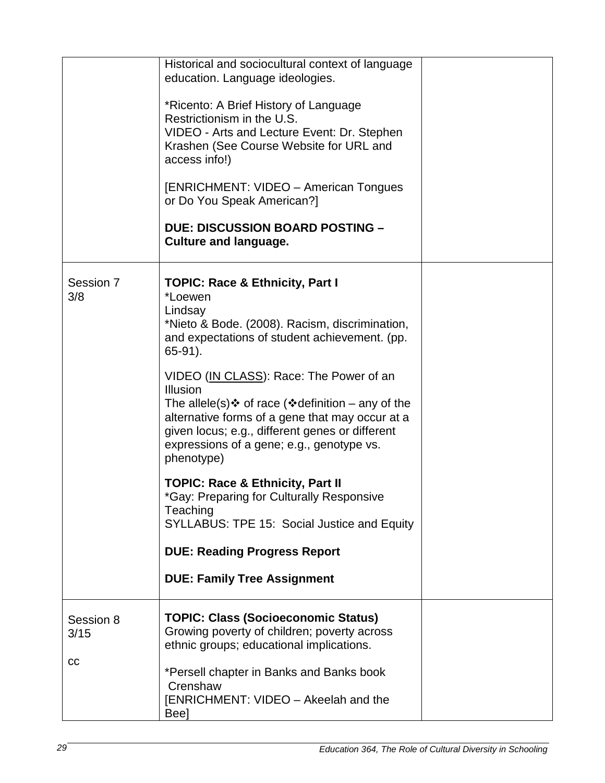|                         | Historical and sociocultural context of language<br>education. Language ideologies.<br>*Ricento: A Brief History of Language<br>Restrictionism in the U.S.<br>VIDEO - Arts and Lecture Event: Dr. Stephen<br>Krashen (See Course Website for URL and<br>access info!)<br>[ENRICHMENT: VIDEO - American Tongues<br>or Do You Speak American?]<br><b>DUE: DISCUSSION BOARD POSTING -</b><br><b>Culture and language.</b>                                                                                                                                                                                                                                                                                                |  |
|-------------------------|-----------------------------------------------------------------------------------------------------------------------------------------------------------------------------------------------------------------------------------------------------------------------------------------------------------------------------------------------------------------------------------------------------------------------------------------------------------------------------------------------------------------------------------------------------------------------------------------------------------------------------------------------------------------------------------------------------------------------|--|
| Session 7<br>3/8        | <b>TOPIC: Race &amp; Ethnicity, Part I</b><br>*Loewen<br>Lindsay<br>*Nieto & Bode. (2008). Racism, discrimination,<br>and expectations of student achievement. (pp.<br>$65-91$ ).<br>VIDEO (IN CLASS): Race: The Power of an<br><b>Illusion</b><br>The allele(s) $\div$ of race ( $\div$ definition – any of the<br>alternative forms of a gene that may occur at a<br>given locus; e.g., different genes or different<br>expressions of a gene; e.g., genotype vs.<br>phenotype)<br><b>TOPIC: Race &amp; Ethnicity, Part II</b><br>*Gay: Preparing for Culturally Responsive<br>Teaching<br>SYLLABUS: TPE 15: Social Justice and Equity<br><b>DUE: Reading Progress Report</b><br><b>DUE: Family Tree Assignment</b> |  |
| Session 8<br>3/15<br>cc | <b>TOPIC: Class (Socioeconomic Status)</b><br>Growing poverty of children; poverty across<br>ethnic groups; educational implications.<br>*Persell chapter in Banks and Banks book<br>Crenshaw<br>[ENRICHMENT: VIDEO - Akeelah and the<br>Bee]                                                                                                                                                                                                                                                                                                                                                                                                                                                                         |  |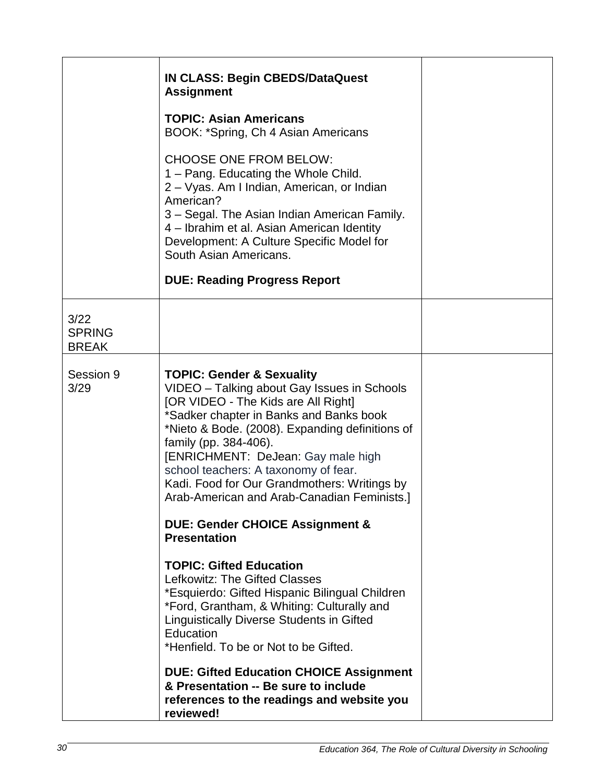|                                       | <b>IN CLASS: Begin CBEDS/DataQuest</b><br><b>Assignment</b><br><b>TOPIC: Asian Americans</b><br>BOOK: *Spring, Ch 4 Asian Americans<br><b>CHOOSE ONE FROM BELOW:</b><br>1 – Pang. Educating the Whole Child.<br>2 – Vyas. Am I Indian, American, or Indian<br>American?<br>3 – Segal. The Asian Indian American Family.<br>4 – Ibrahim et al. Asian American Identity<br>Development: A Culture Specific Model for<br>South Asian Americans.<br><b>DUE: Reading Progress Report</b>                                                                                                                                                                                                                                                                                                                                                                                                                                            |  |
|---------------------------------------|--------------------------------------------------------------------------------------------------------------------------------------------------------------------------------------------------------------------------------------------------------------------------------------------------------------------------------------------------------------------------------------------------------------------------------------------------------------------------------------------------------------------------------------------------------------------------------------------------------------------------------------------------------------------------------------------------------------------------------------------------------------------------------------------------------------------------------------------------------------------------------------------------------------------------------|--|
| 3/22<br><b>SPRING</b><br><b>BREAK</b> |                                                                                                                                                                                                                                                                                                                                                                                                                                                                                                                                                                                                                                                                                                                                                                                                                                                                                                                                |  |
| Session 9<br>3/29                     | <b>TOPIC: Gender &amp; Sexuality</b><br>VIDEO - Talking about Gay Issues in Schools<br>[OR VIDEO - The Kids are All Right]<br>*Sadker chapter in Banks and Banks book<br>*Nieto & Bode. (2008). Expanding definitions of<br>family (pp. 384-406).<br>[ENRICHMENT: DeJean: Gay male high<br>school teachers: A taxonomy of fear.<br>Kadi. Food for Our Grandmothers: Writings by<br>Arab-American and Arab-Canadian Feminists.]<br><b>DUE: Gender CHOICE Assignment &amp;</b><br><b>Presentation</b><br><b>TOPIC: Gifted Education</b><br>Lefkowitz: The Gifted Classes<br>*Esquierdo: Gifted Hispanic Bilingual Children<br>*Ford, Grantham, & Whiting: Culturally and<br>Linguistically Diverse Students in Gifted<br>Education<br>*Henfield. To be or Not to be Gifted.<br><b>DUE: Gifted Education CHOICE Assignment</b><br>& Presentation -- Be sure to include<br>references to the readings and website you<br>reviewed! |  |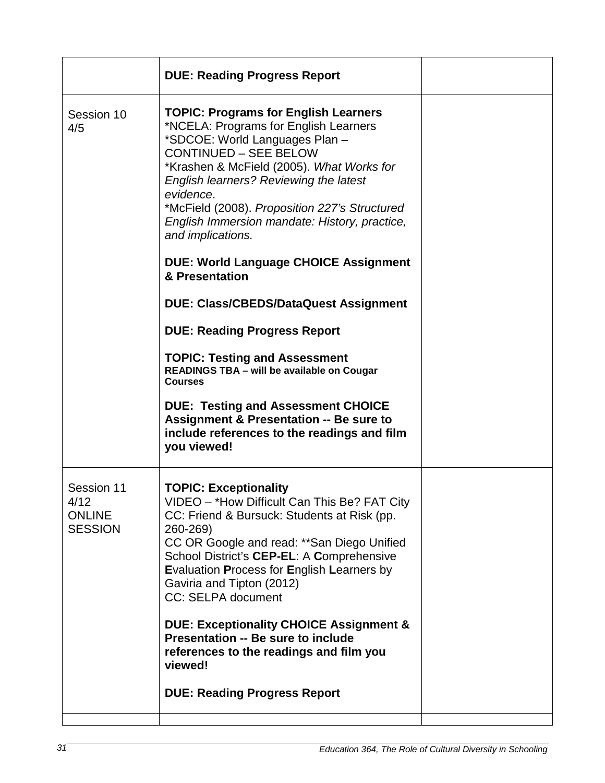|                                                       | <b>DUE: Reading Progress Report</b>                                                                                                                                                                                                                                                                                                                                                        |  |
|-------------------------------------------------------|--------------------------------------------------------------------------------------------------------------------------------------------------------------------------------------------------------------------------------------------------------------------------------------------------------------------------------------------------------------------------------------------|--|
| Session 10<br>4/5                                     | <b>TOPIC: Programs for English Learners</b><br>*NCELA: Programs for English Learners<br>*SDCOE: World Languages Plan-<br><b>CONTINUED - SEE BELOW</b><br>*Krashen & McField (2005). What Works for<br>English learners? Reviewing the latest<br>evidence.<br>*McField (2008). Proposition 227's Structured<br>English Immersion mandate: History, practice,<br>and implications.           |  |
|                                                       | <b>DUE: World Language CHOICE Assignment</b><br>& Presentation                                                                                                                                                                                                                                                                                                                             |  |
|                                                       | <b>DUE: Class/CBEDS/DataQuest Assignment</b>                                                                                                                                                                                                                                                                                                                                               |  |
|                                                       | <b>DUE: Reading Progress Report</b>                                                                                                                                                                                                                                                                                                                                                        |  |
|                                                       | <b>TOPIC: Testing and Assessment</b><br>READINGS TBA - will be available on Cougar<br><b>Courses</b>                                                                                                                                                                                                                                                                                       |  |
|                                                       | <b>DUE: Testing and Assessment CHOICE</b><br><b>Assignment &amp; Presentation -- Be sure to</b><br>include references to the readings and film<br>you viewed!                                                                                                                                                                                                                              |  |
| Session 11<br>4/12<br><b>ONLINE</b><br><b>SESSION</b> | <b>TOPIC: Exceptionality</b><br>VIDEO - *How Difficult Can This Be? FAT City<br>CC: Friend & Bursuck: Students at Risk (pp.<br>260-269)<br>CC OR Google and read: ** San Diego Unified<br>School District's CEP-EL: A Comprehensive<br>Evaluation Process for English Learners by<br>Gaviria and Tipton (2012)<br>CC: SELPA document<br><b>DUE: Exceptionality CHOICE Assignment &amp;</b> |  |
|                                                       | Presentation -- Be sure to include<br>references to the readings and film you<br>viewed!                                                                                                                                                                                                                                                                                                   |  |
|                                                       | <b>DUE: Reading Progress Report</b>                                                                                                                                                                                                                                                                                                                                                        |  |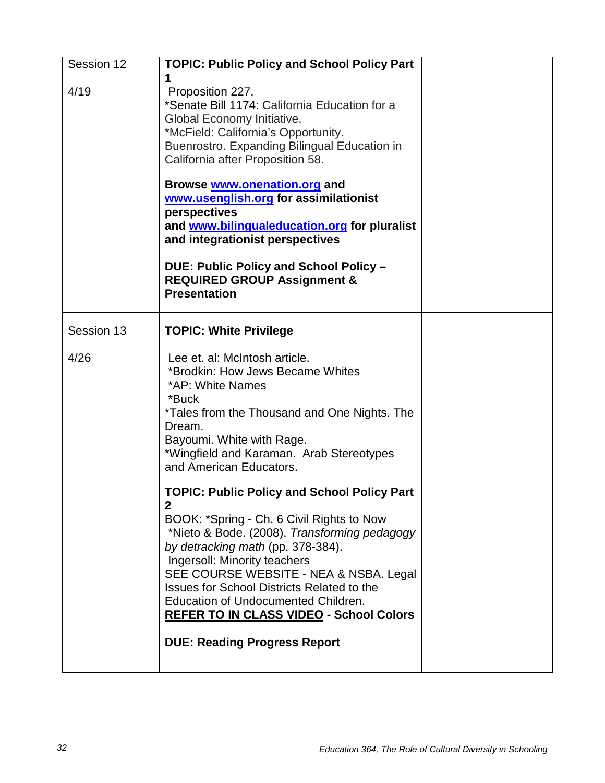| Session 12 | <b>TOPIC: Public Policy and School Policy Part</b><br>1                                                                                                                                                                                                                                                                                                                                                                        |  |
|------------|--------------------------------------------------------------------------------------------------------------------------------------------------------------------------------------------------------------------------------------------------------------------------------------------------------------------------------------------------------------------------------------------------------------------------------|--|
| 4/19       | Proposition 227.<br>*Senate Bill 1174: California Education for a<br>Global Economy Initiative.<br>*McField: California's Opportunity.<br>Buenrostro. Expanding Bilingual Education in<br>California after Proposition 58.<br>Browse www.onenation.org and<br>www.usenglish.org for assimilationist<br>perspectives                                                                                                            |  |
|            | and www.bilingualeducation.org for pluralist<br>and integrationist perspectives                                                                                                                                                                                                                                                                                                                                                |  |
|            | DUE: Public Policy and School Policy -<br><b>REQUIRED GROUP Assignment &amp;</b><br><b>Presentation</b>                                                                                                                                                                                                                                                                                                                        |  |
| Session 13 | <b>TOPIC: White Privilege</b>                                                                                                                                                                                                                                                                                                                                                                                                  |  |
| 4/26       | Lee et. al: McIntosh article.<br>*Brodkin: How Jews Became Whites<br>*AP: White Names<br>*Buck<br>*Tales from the Thousand and One Nights. The<br>Dream.<br>Bayoumi. White with Rage.<br>*Wingfield and Karaman. Arab Stereotypes<br>and American Educators.                                                                                                                                                                   |  |
|            | <b>TOPIC: Public Policy and School Policy Part</b><br>$\overline{2}$<br>BOOK: *Spring - Ch. 6 Civil Rights to Now<br>*Nieto & Bode. (2008). Transforming pedagogy<br>by detracking math (pp. 378-384).<br>Ingersoll: Minority teachers<br>SEE COURSE WEBSITE - NEA & NSBA. Legal<br><b>Issues for School Districts Related to the</b><br>Education of Undocumented Children.<br><b>REFER TO IN CLASS VIDEO - School Colors</b> |  |
|            | <b>DUE: Reading Progress Report</b>                                                                                                                                                                                                                                                                                                                                                                                            |  |
|            |                                                                                                                                                                                                                                                                                                                                                                                                                                |  |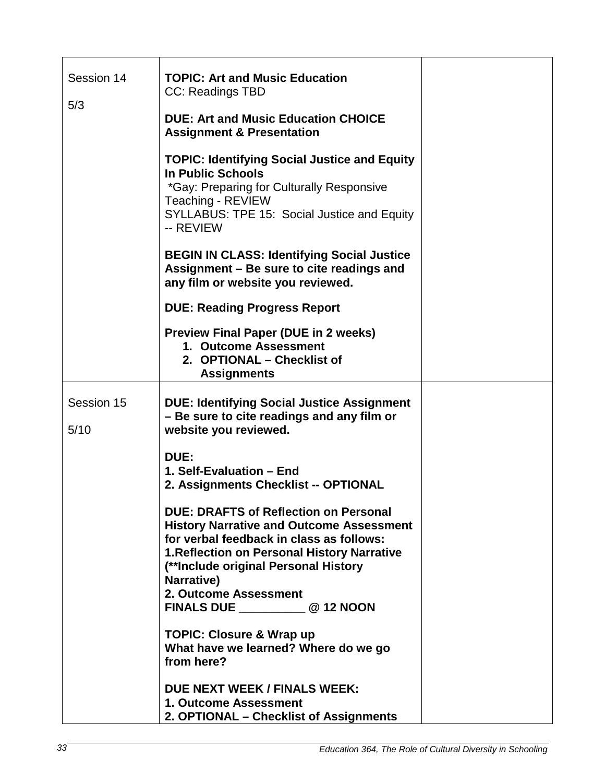| Session 14         | <b>TOPIC: Art and Music Education</b><br>CC: Readings TBD                                                                                                                                                                                                                                                        |  |
|--------------------|------------------------------------------------------------------------------------------------------------------------------------------------------------------------------------------------------------------------------------------------------------------------------------------------------------------|--|
| 5/3                | <b>DUE: Art and Music Education CHOICE</b><br><b>Assignment &amp; Presentation</b>                                                                                                                                                                                                                               |  |
|                    | <b>TOPIC: Identifying Social Justice and Equity</b><br><b>In Public Schools</b><br>*Gay: Preparing for Culturally Responsive<br>Teaching - REVIEW<br>SYLLABUS: TPE 15: Social Justice and Equity<br>-- REVIEW                                                                                                    |  |
|                    | <b>BEGIN IN CLASS: Identifying Social Justice</b><br>Assignment – Be sure to cite readings and<br>any film or website you reviewed.                                                                                                                                                                              |  |
|                    | <b>DUE: Reading Progress Report</b>                                                                                                                                                                                                                                                                              |  |
|                    | <b>Preview Final Paper (DUE in 2 weeks)</b><br>1. Outcome Assessment<br>2. OPTIONAL - Checklist of<br><b>Assignments</b>                                                                                                                                                                                         |  |
| Session 15<br>5/10 | <b>DUE: Identifying Social Justice Assignment</b><br>- Be sure to cite readings and any film or<br>website you reviewed.                                                                                                                                                                                         |  |
|                    | DUE:<br>1. Self-Evaluation - End<br>2. Assignments Checklist -- OPTIONAL                                                                                                                                                                                                                                         |  |
|                    | <b>DUE: DRAFTS of Reflection on Personal</b><br><b>History Narrative and Outcome Assessment</b><br>for verbal feedback in class as follows:<br>1. Reflection on Personal History Narrative<br>(**Include original Personal History<br>Narrative)<br>2. Outcome Assessment<br>FINALS DUE ______________ @ 12 NOON |  |
|                    | <b>TOPIC: Closure &amp; Wrap up</b><br>What have we learned? Where do we go<br>from here?                                                                                                                                                                                                                        |  |
|                    | <b>DUE NEXT WEEK / FINALS WEEK:</b><br>1. Outcome Assessment<br>2. OPTIONAL - Checklist of Assignments                                                                                                                                                                                                           |  |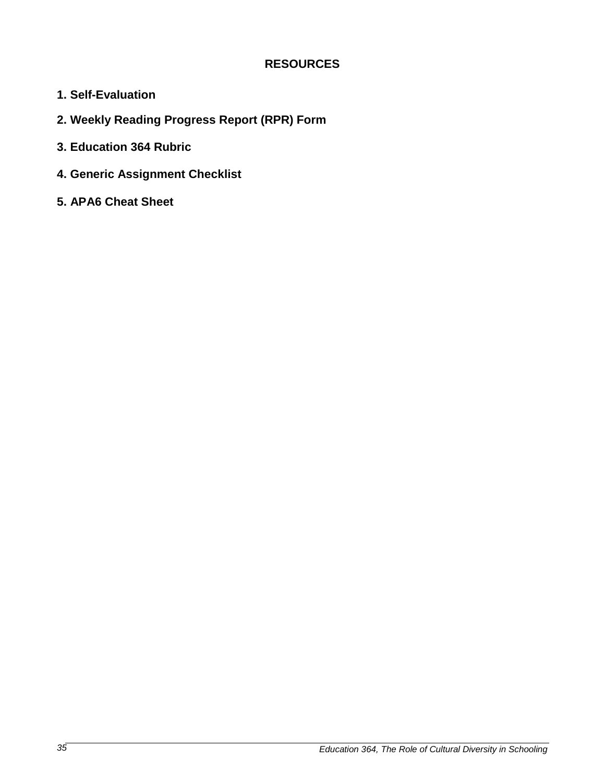### **RESOURCES**

- **1. Self-Evaluation**
- **2. Weekly Reading Progress Report (RPR) Form**
- **3. Education 364 Rubric**
- **4. Generic Assignment Checklist**
- **5. APA6 Cheat Sheet**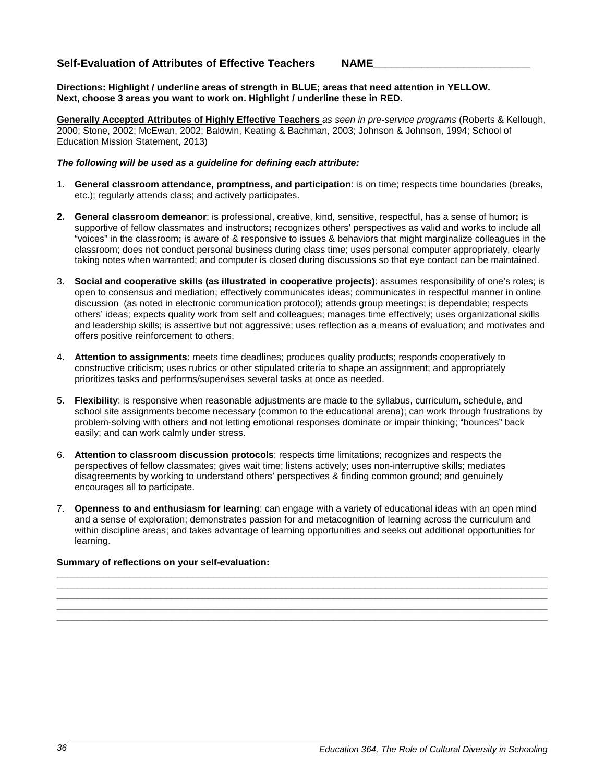#### **Self-Evaluation of Attributes of Effective Teachers NAME\_\_\_\_\_\_\_\_\_\_\_\_\_\_\_\_\_\_\_\_\_\_\_\_\_\_**

**Directions: Highlight / underline areas of strength in BLUE; areas that need attention in YELLOW. Next, choose 3 areas you want to work on. Highlight / underline these in RED.**

**Generally Accepted Attributes of Highly Effective Teachers** *as seen in pre-service programs* (Roberts & Kellough, 2000; Stone, 2002; McEwan, 2002; Baldwin, Keating & Bachman, 2003; Johnson & Johnson, 1994; School of Education Mission Statement, 2013)

#### *The following will be used as a guideline for defining each attribute:*

- 1. **General classroom attendance, promptness, and participation**: is on time; respects time boundaries (breaks, etc.); regularly attends class; and actively participates.
- **2. General classroom demeanor**: is professional, creative, kind, sensitive, respectful, has a sense of humor**;** is supportive of fellow classmates and instructors**;** recognizes others' perspectives as valid and works to include all "voices" in the classroom**;** is aware of & responsive to issues & behaviors that might marginalize colleagues in the classroom; does not conduct personal business during class time; uses personal computer appropriately, clearly taking notes when warranted; and computer is closed during discussions so that eye contact can be maintained.
- 3. **Social and cooperative skills (as illustrated in cooperative projects)**: assumes responsibility of one's roles; is open to consensus and mediation; effectively communicates ideas; communicates in respectful manner in online discussion (as noted in electronic communication protocol); attends group meetings; is dependable; respects others' ideas; expects quality work from self and colleagues; manages time effectively; uses organizational skills and leadership skills; is assertive but not aggressive; uses reflection as a means of evaluation; and motivates and offers positive reinforcement to others.
- 4. **Attention to assignments**: meets time deadlines; produces quality products; responds cooperatively to constructive criticism; uses rubrics or other stipulated criteria to shape an assignment; and appropriately prioritizes tasks and performs/supervises several tasks at once as needed.
- 5. **Flexibility**: is responsive when reasonable adjustments are made to the syllabus, curriculum, schedule, and school site assignments become necessary (common to the educational arena); can work through frustrations by problem-solving with others and not letting emotional responses dominate or impair thinking; "bounces" back easily; and can work calmly under stress.
- 6. **Attention to classroom discussion protocols**: respects time limitations; recognizes and respects the perspectives of fellow classmates; gives wait time; listens actively; uses non-interruptive skills; mediates disagreements by working to understand others' perspectives & finding common ground; and genuinely encourages all to participate.
- 7. **Openness to and enthusiasm for learning**: can engage with a variety of educational ideas with an open mind and a sense of exploration; demonstrates passion for and metacognition of learning across the curriculum and within discipline areas; and takes advantage of learning opportunities and seeks out additional opportunities for learning.

**\_\_\_\_\_\_\_\_\_\_\_\_\_\_\_\_\_\_\_\_\_\_\_\_\_\_\_\_\_\_\_\_\_\_\_\_\_\_\_\_\_\_\_\_\_\_\_\_\_\_\_\_\_\_\_\_\_\_\_\_\_\_\_\_\_\_\_\_\_\_\_\_\_\_\_\_\_\_\_\_\_\_\_\_\_\_\_\_\_\_\_\_\_\_ \_\_\_\_\_\_\_\_\_\_\_\_\_\_\_\_\_\_\_\_\_\_\_\_\_\_\_\_\_\_\_\_\_\_\_\_\_\_\_\_\_\_\_\_\_\_\_\_\_\_\_\_\_\_\_\_\_\_\_\_\_\_\_\_\_\_\_\_\_\_\_\_\_\_\_\_\_\_\_\_\_\_\_\_\_\_\_\_\_\_\_\_\_\_ \_\_\_\_\_\_\_\_\_\_\_\_\_\_\_\_\_\_\_\_\_\_\_\_\_\_\_\_\_\_\_\_\_\_\_\_\_\_\_\_\_\_\_\_\_\_\_\_\_\_\_\_\_\_\_\_\_\_\_\_\_\_\_\_\_\_\_\_\_\_\_\_\_\_\_\_\_\_\_\_\_\_\_\_\_\_\_\_\_\_\_\_\_\_ \_\_\_\_\_\_\_\_\_\_\_\_\_\_\_\_\_\_\_\_\_\_\_\_\_\_\_\_\_\_\_\_\_\_\_\_\_\_\_\_\_\_\_\_\_\_\_\_\_\_\_\_\_\_\_\_\_\_\_\_\_\_\_\_\_\_\_\_\_\_\_\_\_\_\_\_\_\_\_\_\_\_\_\_\_\_\_\_\_\_\_\_\_\_ \_\_\_\_\_\_\_\_\_\_\_\_\_\_\_\_\_\_\_\_\_\_\_\_\_\_\_\_\_\_\_\_\_\_\_\_\_\_\_\_\_\_\_\_\_\_\_\_\_\_\_\_\_\_\_\_\_\_\_\_\_\_\_\_\_\_\_\_\_\_\_\_\_\_\_\_\_\_\_\_\_\_\_\_\_\_\_\_\_\_\_\_\_\_**

#### **Summary of reflections on your self-evaluation:**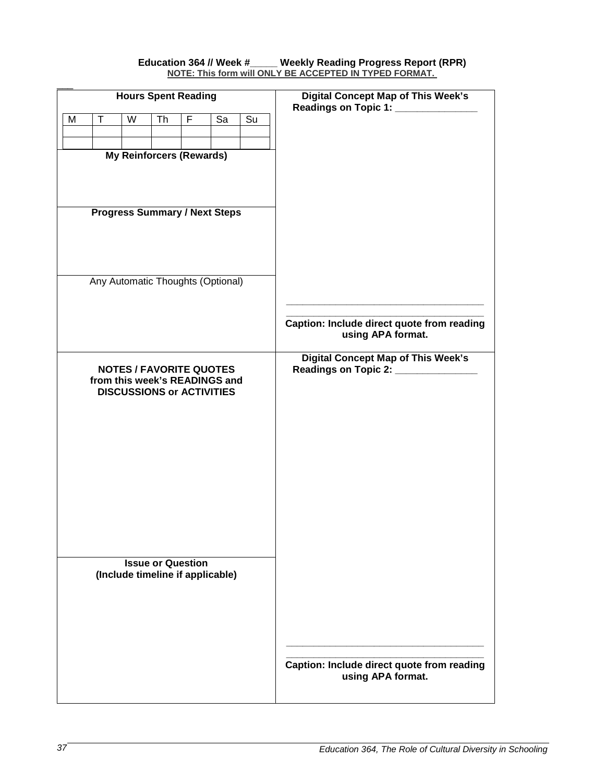#### **Education 364 // Week #\_\_\_\_\_ Weekly Reading Progress Report (RPR) NOTE: This form will ONLY BE ACCEPTED IN TYPED FORMAT.**

| <b>Hours Spent Reading</b> |   |                                 |    |                          |                                                                 | <b>Digital Concept Map of This Week's</b><br>Readings on Topic 1: |                                                                 |  |
|----------------------------|---|---------------------------------|----|--------------------------|-----------------------------------------------------------------|-------------------------------------------------------------------|-----------------------------------------------------------------|--|
| M                          | Т | W                               | Th | F                        | Sa                                                              | Su                                                                |                                                                 |  |
|                            |   |                                 |    |                          |                                                                 |                                                                   |                                                                 |  |
|                            |   | <b>My Reinforcers (Rewards)</b> |    |                          |                                                                 |                                                                   |                                                                 |  |
|                            |   |                                 |    |                          |                                                                 |                                                                   |                                                                 |  |
|                            |   |                                 |    |                          |                                                                 |                                                                   |                                                                 |  |
|                            |   |                                 |    |                          |                                                                 |                                                                   |                                                                 |  |
|                            |   |                                 |    |                          | <b>Progress Summary / Next Steps</b>                            |                                                                   |                                                                 |  |
|                            |   |                                 |    |                          |                                                                 |                                                                   |                                                                 |  |
|                            |   |                                 |    |                          |                                                                 |                                                                   |                                                                 |  |
|                            |   |                                 |    |                          |                                                                 |                                                                   |                                                                 |  |
|                            |   |                                 |    |                          | Any Automatic Thoughts (Optional)                               |                                                                   |                                                                 |  |
|                            |   |                                 |    |                          |                                                                 |                                                                   |                                                                 |  |
|                            |   |                                 |    |                          |                                                                 |                                                                   |                                                                 |  |
|                            |   |                                 |    |                          |                                                                 |                                                                   | Caption: Include direct quote from reading<br>using APA format. |  |
|                            |   |                                 |    |                          |                                                                 |                                                                   | <b>Digital Concept Map of This Week's</b>                       |  |
|                            |   |                                 |    |                          | <b>NOTES / FAVORITE QUOTES</b><br>from this week's READINGS and |                                                                   | <b>Readings on Topic 2:</b>                                     |  |
|                            |   |                                 |    |                          | <b>DISCUSSIONS or ACTIVITIES</b>                                |                                                                   |                                                                 |  |
|                            |   |                                 |    |                          |                                                                 |                                                                   |                                                                 |  |
|                            |   |                                 |    |                          |                                                                 |                                                                   |                                                                 |  |
|                            |   |                                 |    |                          |                                                                 |                                                                   |                                                                 |  |
|                            |   |                                 |    |                          |                                                                 |                                                                   |                                                                 |  |
|                            |   |                                 |    |                          |                                                                 |                                                                   |                                                                 |  |
|                            |   |                                 |    |                          |                                                                 |                                                                   |                                                                 |  |
|                            |   |                                 |    |                          |                                                                 |                                                                   |                                                                 |  |
|                            |   |                                 |    |                          |                                                                 |                                                                   |                                                                 |  |
|                            |   |                                 |    |                          |                                                                 |                                                                   |                                                                 |  |
|                            |   |                                 |    | <b>Issue or Question</b> |                                                                 |                                                                   |                                                                 |  |
|                            |   |                                 |    |                          | (Include timeline if applicable)                                |                                                                   |                                                                 |  |
|                            |   |                                 |    |                          |                                                                 |                                                                   |                                                                 |  |
|                            |   |                                 |    |                          |                                                                 |                                                                   |                                                                 |  |
|                            |   |                                 |    |                          |                                                                 |                                                                   |                                                                 |  |
|                            |   |                                 |    |                          |                                                                 |                                                                   |                                                                 |  |
|                            |   |                                 |    |                          |                                                                 |                                                                   |                                                                 |  |
|                            |   |                                 |    |                          |                                                                 |                                                                   | Caption: Include direct quote from reading<br>using APA format. |  |
|                            |   |                                 |    |                          |                                                                 |                                                                   |                                                                 |  |
|                            |   |                                 |    |                          |                                                                 |                                                                   |                                                                 |  |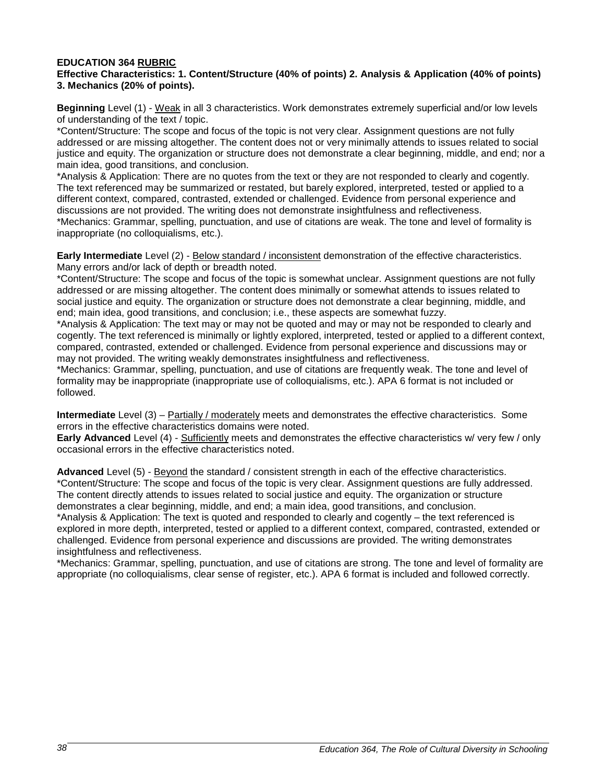#### **EDUCATION 364 RUBRIC Effective Characteristics: 1. Content/Structure (40% of points) 2. Analysis & Application (40% of points) 3. Mechanics (20% of points).**

**Beginning** Level (1) - Weak in all 3 characteristics. Work demonstrates extremely superficial and/or low levels of understanding of the text / topic.

\*Content/Structure: The scope and focus of the topic is not very clear. Assignment questions are not fully addressed or are missing altogether. The content does not or very minimally attends to issues related to social justice and equity. The organization or structure does not demonstrate a clear beginning, middle, and end; nor a main idea, good transitions, and conclusion.

\*Analysis & Application: There are no quotes from the text or they are not responded to clearly and cogently. The text referenced may be summarized or restated, but barely explored, interpreted, tested or applied to a different context, compared, contrasted, extended or challenged. Evidence from personal experience and discussions are not provided. The writing does not demonstrate insightfulness and reflectiveness. \*Mechanics: Grammar, spelling, punctuation, and use of citations are weak. The tone and level of formality is inappropriate (no colloquialisms, etc.).

**Early Intermediate** Level (2) - Below standard / inconsistent demonstration of the effective characteristics. Many errors and/or lack of depth or breadth noted.

\*Content/Structure: The scope and focus of the topic is somewhat unclear. Assignment questions are not fully addressed or are missing altogether. The content does minimally or somewhat attends to issues related to social justice and equity. The organization or structure does not demonstrate a clear beginning, middle, and end; main idea, good transitions, and conclusion; i.e., these aspects are somewhat fuzzy.

\*Analysis & Application: The text may or may not be quoted and may or may not be responded to clearly and cogently. The text referenced is minimally or lightly explored, interpreted, tested or applied to a different context, compared, contrasted, extended or challenged. Evidence from personal experience and discussions may or may not provided. The writing weakly demonstrates insightfulness and reflectiveness.

\*Mechanics: Grammar, spelling, punctuation, and use of citations are frequently weak. The tone and level of formality may be inappropriate (inappropriate use of colloquialisms, etc.). APA 6 format is not included or followed.

**Intermediate** Level (3) – Partially / moderately meets and demonstrates the effective characteristics. Some errors in the effective characteristics domains were noted.

**Early Advanced** Level (4) - Sufficiently meets and demonstrates the effective characteristics w/ very few / only occasional errors in the effective characteristics noted.

**Advanced** Level (5) - Beyond the standard / consistent strength in each of the effective characteristics. \*Content/Structure: The scope and focus of the topic is very clear. Assignment questions are fully addressed. The content directly attends to issues related to social justice and equity. The organization or structure demonstrates a clear beginning, middle, and end; a main idea, good transitions, and conclusion. \*Analysis & Application: The text is quoted and responded to clearly and cogently – the text referenced is explored in more depth, interpreted, tested or applied to a different context, compared, contrasted, extended or challenged. Evidence from personal experience and discussions are provided. The writing demonstrates

insightfulness and reflectiveness.

\*Mechanics: Grammar, spelling, punctuation, and use of citations are strong. The tone and level of formality are appropriate (no colloquialisms, clear sense of register, etc.). APA 6 format is included and followed correctly.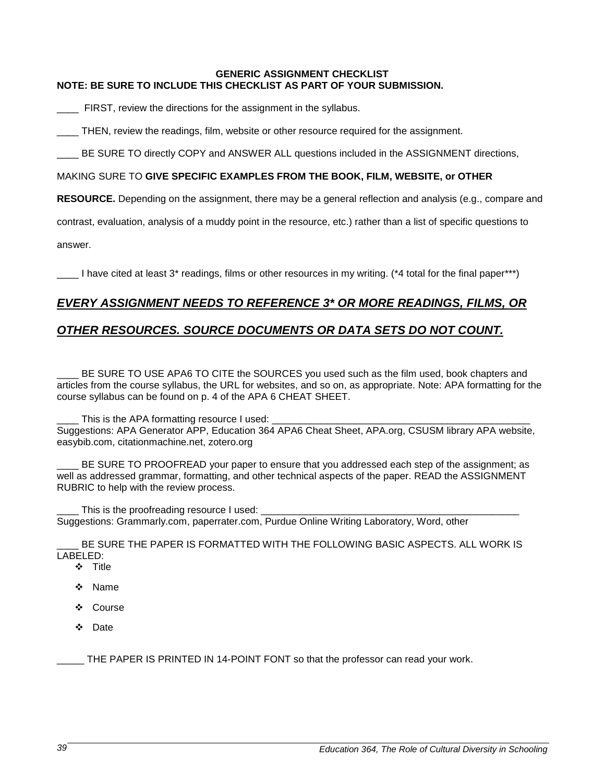#### **GENERIC ASSIGNMENT CHECKLIST NOTE: BE SURE TO INCLUDE THIS CHECKLIST AS PART OF YOUR SUBMISSION.**

FIRST, review the directions for the assignment in the syllabus.

THEN, review the readings, film, website or other resource required for the assignment.

BE SURE TO directly COPY and ANSWER ALL questions included in the ASSIGNMENT directions,

#### MAKING SURE TO **GIVE SPECIFIC EXAMPLES FROM THE BOOK, FILM, WEBSITE, or OTHER**

**RESOURCE.** Depending on the assignment, there may be a general reflection and analysis (e.g., compare and

contrast, evaluation, analysis of a muddy point in the resource, etc.) rather than a list of specific questions to

answer.

I have cited at least 3<sup>\*</sup> readings, films or other resources in my writing. (\*4 total for the final paper\*\*\*)

### *EVERY ASSIGNMENT NEEDS TO REFERENCE 3\* OR MORE READINGS, FILMS, OR*

### *OTHER RESOURCES. SOURCE DOCUMENTS OR DATA SETS DO NOT COUNT.*

BE SURE TO USE APA6 TO CITE the SOURCES you used such as the film used, book chapters and articles from the course syllabus, the URL for websites, and so on, as appropriate. Note: APA formatting for the course syllabus can be found on p. 4 of the APA 6 CHEAT SHEET.

This is the APA formatting resource I used: Suggestions: APA Generator APP, Education 364 APA6 Cheat Sheet, APA.org, CSUSM library APA website, easybib.com, citationmachine.net, zotero.org

BE SURE TO PROOFREAD your paper to ensure that you addressed each step of the assignment; as well as addressed grammar, formatting, and other technical aspects of the paper. READ the ASSIGNMENT RUBRIC to help with the review process.

\_ This is the proofreading resource I used: Suggestions: Grammarly.com, paperrater.com, Purdue Online Writing Laboratory, Word, other

BE SURE THE PAPER IS FORMATTED WITH THE FOLLOWING BASIC ASPECTS. ALL WORK IS LABELED:

- ❖ Title
- Name
- ❖ Course
- ❖ Date

\_\_\_\_\_ THE PAPER IS PRINTED IN 14-POINT FONT so that the professor can read your work.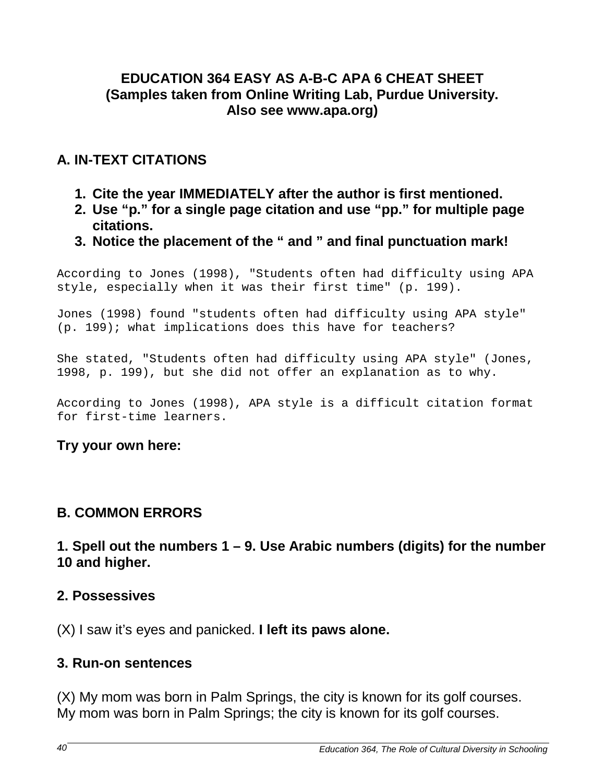## **EDUCATION 364 EASY AS A-B-C APA 6 CHEAT SHEET (Samples taken from Online Writing Lab, Purdue University. Also see www.apa.org)**

# **A. IN-TEXT CITATIONS**

- **1. Cite the year IMMEDIATELY after the author is first mentioned.**
- **2. Use "p." for a single page citation and use "pp." for multiple page citations.**
- **3. Notice the placement of the " and " and final punctuation mark!**

According to Jones (1998), "Students often had difficulty using APA style, especially when it was their first time" (p. 199).

Jones (1998) found "students often had difficulty using APA style" (p. 199); what implications does this have for teachers?

She stated, "Students often had difficulty using APA style" (Jones, 1998, p. 199), but she did not offer an explanation as to why.

According to Jones (1998), APA style is a difficult citation format for first-time learners.

## **Try your own here:**

# **B. COMMON ERRORS**

**1. Spell out the numbers 1 – 9. Use Arabic numbers (digits) for the number 10 and higher.**

## **2. Possessives**

(X) I saw it's eyes and panicked. **I left its paws alone.**

## **3. Run-on sentences**

(X) My mom was born in Palm Springs, the city is known for its golf courses. My mom was born in Palm Springs; the city is known for its golf courses.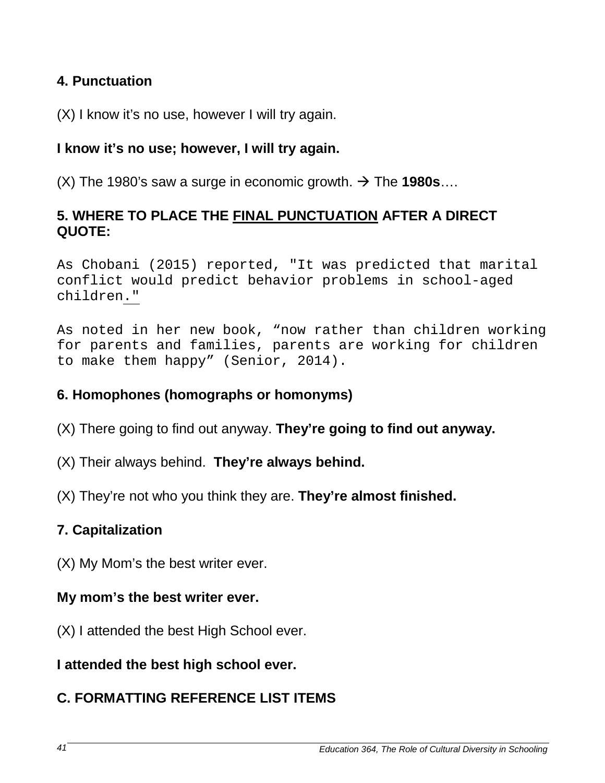# **4. Punctuation**

(X) I know it's no use, however I will try again.

# **I know it's no use; however, I will try again.**

 $(X)$  The 1980's saw a surge in economic growth.  $\rightarrow$  The **1980s**...

# **5. WHERE TO PLACE THE FINAL PUNCTUATION AFTER A DIRECT QUOTE:**

As Chobani (2015) reported, "It was predicted that marital conflict would predict behavior problems in school-aged children."

As noted in her new book, "now rather than children working for parents and families, parents are working for children to make them happy" (Senior, 2014).

# **6. Homophones (homographs or homonyms)**

- (X) There going to find out anyway. **They're going to find out anyway.**
- (X) Their always behind. **They're always behind.**
- (X) They're not who you think they are. **They're almost finished.**

# **7. Capitalization**

(X) My Mom's the best writer ever.

## **My mom's the best writer ever.**

(X) I attended the best High School ever.

# **I attended the best high school ever.**

# **C. FORMATTING REFERENCE LIST ITEMS**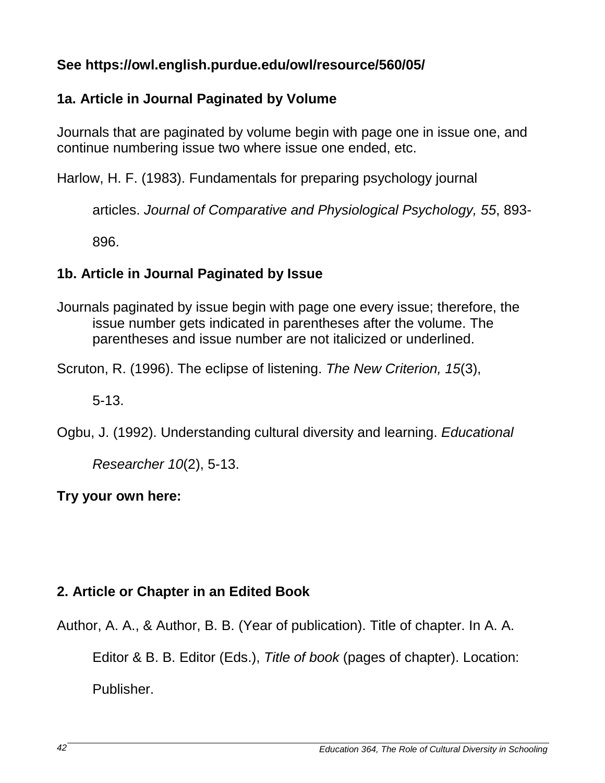# **See https://owl.english.purdue.edu/owl/resource/560/05/**

# **1a. Article in Journal Paginated by Volume**

Journals that are paginated by volume begin with page one in issue one, and continue numbering issue two where issue one ended, etc.

Harlow, H. F. (1983). Fundamentals for preparing psychology journal

articles. *Journal of Comparative and Physiological Psychology, 55*, 893-

896.

# **1b. Article in Journal Paginated by Issue**

Journals paginated by issue begin with page one every issue; therefore, the issue number gets indicated in parentheses after the volume. The parentheses and issue number are not italicized or underlined.

Scruton, R. (1996). The eclipse of listening. *The New Criterion, 15*(3),

5-13.

Ogbu, J. (1992). Understanding cultural diversity and learning. *Educational* 

*Researcher 10*(2), 5-13.

**Try your own here:** 

# **2. Article or Chapter in an Edited Book**

Author, A. A., & Author, B. B. (Year of publication). Title of chapter. In A. A. Editor & B. B. Editor (Eds.), *Title of book* (pages of chapter). Location:

Publisher.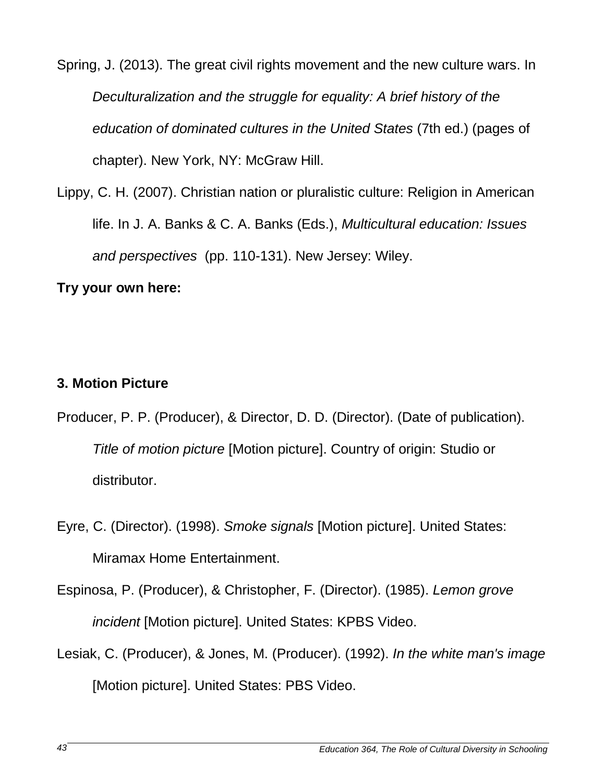Spring, J. (2013). The great civil rights movement and the new culture wars. In *Deculturalization and the struggle for equality: A brief history of the education of dominated cultures in the United States* (7th ed.) (pages of chapter). New York, NY: McGraw Hill.

Lippy, C. H. (2007). Christian nation or pluralistic culture: Religion in American life. In J. A. Banks & C. A. Banks (Eds.), *Multicultural education: Issues and perspectives* (pp. 110-131). New Jersey: Wiley.

# **Try your own here:**

## **3. Motion Picture**

- Producer, P. P. (Producer), & Director, D. D. (Director). (Date of publication). *Title of motion picture* [Motion picture]. Country of origin: Studio or distributor.
- Eyre, C. (Director). (1998). *Smoke signals* [Motion picture]. United States: Miramax Home Entertainment.
- Espinosa, P. (Producer), & Christopher, F. (Director). (1985). *Lemon grove incident* [Motion picture]. United States: KPBS Video.
- Lesiak, C. (Producer), & Jones, M. (Producer). (1992). *In the white man's image*  [Motion picture]. United States: PBS Video.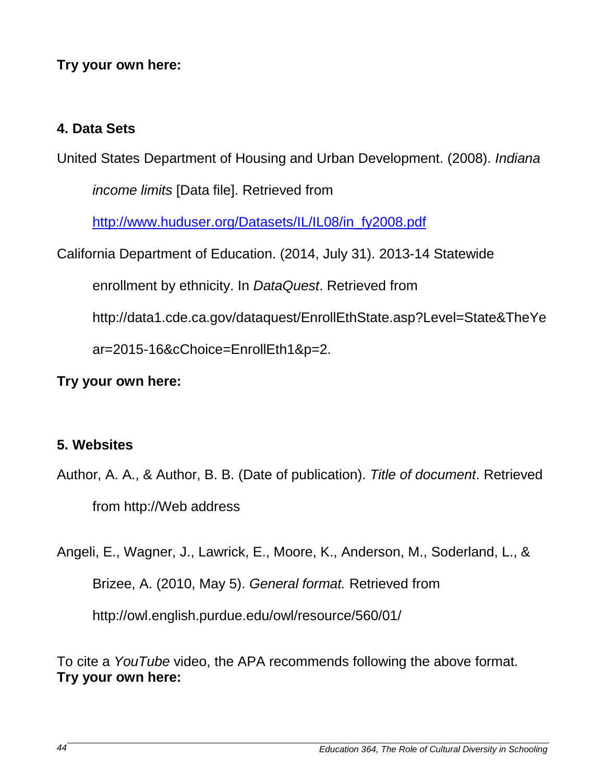# **Try your own here:**

# **4. Data Sets**

United States Department of Housing and Urban Development. (2008). *Indiana* 

*income limits* [Data file]. Retrieved from

[http://www.huduser.org/Datasets/IL/IL08/in\\_fy2008.pdf](http://www.huduser.org/Datasets/IL/IL08/in_fy2008.pdf)

California Department of Education. (2014, July 31). 2013-14 Statewide

enrollment by ethnicity. In *DataQuest*. Retrieved from

http://data1.cde.ca.gov/dataquest/EnrollEthState.asp?Level=State&TheYe

ar=2015-16&cChoice=EnrollEth1&p=2.

**Try your own here:** 

## **5. Websites**

Author, A. A., & Author, B. B. (Date of publication). *Title of document*. Retrieved from http://Web address

Angeli, E., Wagner, J., Lawrick, E., Moore, K., Anderson, M., Soderland, L., & Brizee, A. (2010, May 5). *General format.* Retrieved from http://owl.english.purdue.edu/owl/resource/560/01/

To cite a *YouTube* video, the APA recommends following the above format. **Try your own here:**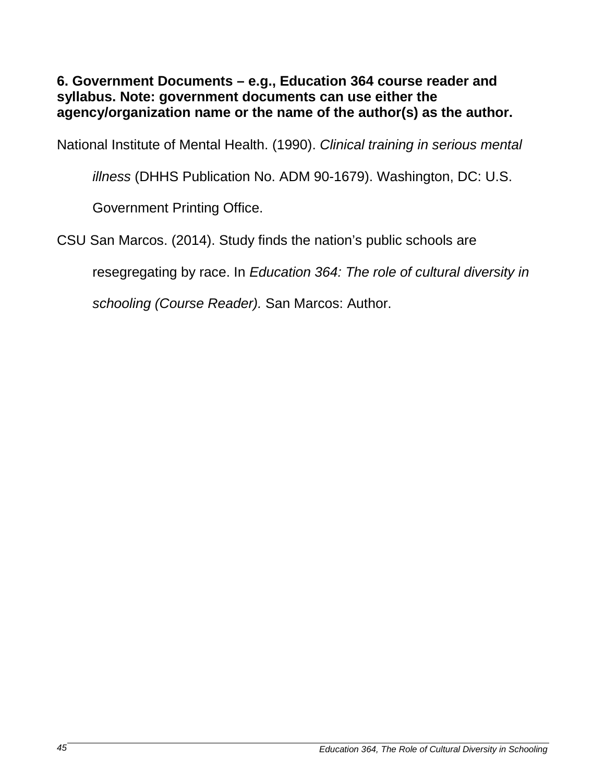**6. Government Documents – e.g., Education 364 course reader and syllabus. Note: government documents can use either the agency/organization name or the name of the author(s) as the author.**

National Institute of Mental Health. (1990). *Clinical training in serious mental* 

*illness* (DHHS Publication No. ADM 90-1679). Washington, DC: U.S.

Government Printing Office.

CSU San Marcos. (2014). Study finds the nation's public schools are

resegregating by race. In *Education 364: The role of cultural diversity in* 

*schooling (Course Reader).* San Marcos: Author.